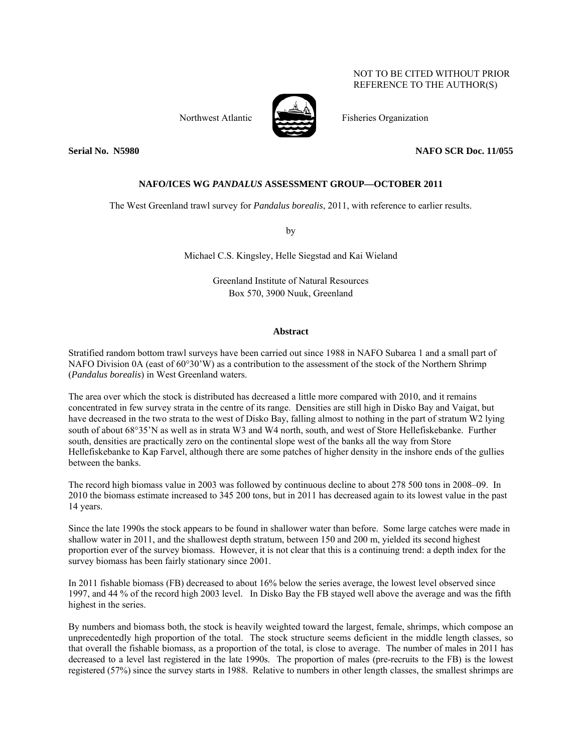## NOT TO BE CITED WITHOUT PRIOR REFERENCE TO THE AUTHOR(S)



Northwest Atlantic Fisheries Organization

**Serial No. N5980 NAFO SCR Doc. 11/055** 

# **NAFO/ICES WG** *PANDALUS* **ASSESSMENT GROUP—OCTOBER 2011**

The West Greenland trawl survey for *Pandalus borealis*, 2011, with reference to earlier results.

by

Michael C.S. Kingsley, Helle Siegstad and Kai Wieland

Greenland Institute of Natural Resources Box 570, 3900 Nuuk, Greenland

## **Abstract**

Stratified random bottom trawl surveys have been carried out since 1988 in NAFO Subarea 1 and a small part of NAFO Division 0A (east of 60°30'W) as a contribution to the assessment of the stock of the Northern Shrimp (*Pandalus borealis*) in West Greenland waters.

The area over which the stock is distributed has decreased a little more compared with 2010, and it remains concentrated in few survey strata in the centre of its range. Densities are still high in Disko Bay and Vaigat, but have decreased in the two strata to the west of Disko Bay, falling almost to nothing in the part of stratum W2 lying south of about 68°35'N as well as in strata W3 and W4 north, south, and west of Store Hellefiskebanke. Further south, densities are practically zero on the continental slope west of the banks all the way from Store Hellefiskebanke to Kap Farvel, although there are some patches of higher density in the inshore ends of the gullies between the banks.

The record high biomass value in 2003 was followed by continuous decline to about 278 500 tons in 2008–09. In 2010 the biomass estimate increased to 345 200 tons, but in 2011 has decreased again to its lowest value in the past 14 years.

Since the late 1990s the stock appears to be found in shallower water than before. Some large catches were made in shallow water in 2011, and the shallowest depth stratum, between 150 and 200 m, yielded its second highest proportion ever of the survey biomass. However, it is not clear that this is a continuing trend: a depth index for the survey biomass has been fairly stationary since 2001.

In 2011 fishable biomass (FB) decreased to about 16% below the series average, the lowest level observed since 1997, and 44 % of the record high 2003 level. In Disko Bay the FB stayed well above the average and was the fifth highest in the series.

By numbers and biomass both, the stock is heavily weighted toward the largest, female, shrimps, which compose an unprecedentedly high proportion of the total. The stock structure seems deficient in the middle length classes, so that overall the fishable biomass, as a proportion of the total, is close to average. The number of males in 2011 has decreased to a level last registered in the late 1990s. The proportion of males (pre-recruits to the FB) is the lowest registered (57%) since the survey starts in 1988. Relative to numbers in other length classes, the smallest shrimps are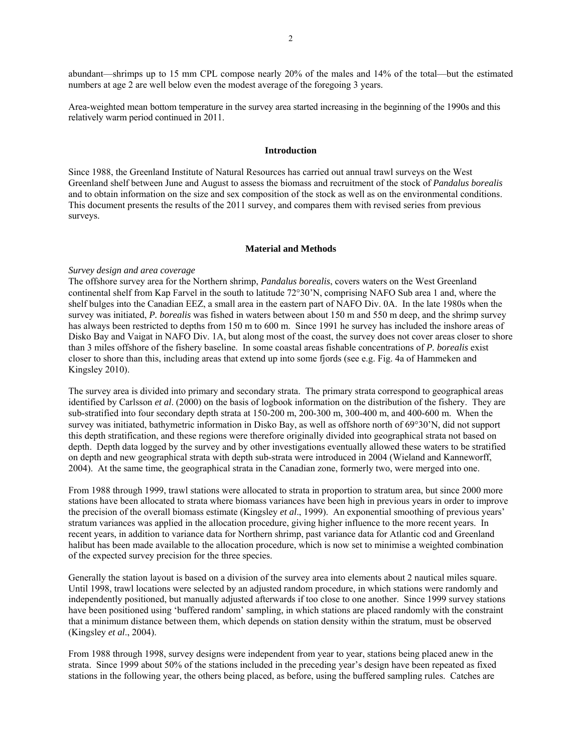abundant—shrimps up to 15 mm CPL compose nearly 20% of the males and 14% of the total—but the estimated numbers at age 2 are well below even the modest average of the foregoing 3 years.

Area-weighted mean bottom temperature in the survey area started increasing in the beginning of the 1990s and this relatively warm period continued in 2011.

## **Introduction**

Since 1988, the Greenland Institute of Natural Resources has carried out annual trawl surveys on the West Greenland shelf between June and August to assess the biomass and recruitment of the stock of *Pandalus borealis* and to obtain information on the size and sex composition of the stock as well as on the environmental conditions. This document presents the results of the 2011 survey, and compares them with revised series from previous surveys.

## **Material and Methods**

#### *Survey design and area coverage*

The offshore survey area for the Northern shrimp, *Pandalus borealis*, covers waters on the West Greenland continental shelf from Kap Farvel in the south to latitude 72°30'N, comprising NAFO Sub area 1 and, where the shelf bulges into the Canadian EEZ, a small area in the eastern part of NAFO Div. 0A. In the late 1980s when the survey was initiated, *P. borealis* was fished in waters between about 150 m and 550 m deep, and the shrimp survey has always been restricted to depths from 150 m to 600 m. Since 1991 he survey has included the inshore areas of Disko Bay and Vaigat in NAFO Div. 1A, but along most of the coast, the survey does not cover areas closer to shore than 3 miles offshore of the fishery baseline. In some coastal areas fishable concentrations of *P. borealis* exist closer to shore than this, including areas that extend up into some fjords (see e.g. Fig. 4a of Hammeken and Kingsley 2010).

The survey area is divided into primary and secondary strata. The primary strata correspond to geographical areas identified by Carlsson *et al*. (2000) on the basis of logbook information on the distribution of the fishery. They are sub-stratified into four secondary depth strata at 150-200 m, 200-300 m, 300-400 m, and 400-600 m. When the survey was initiated, bathymetric information in Disko Bay, as well as offshore north of 69°30'N, did not support this depth stratification, and these regions were therefore originally divided into geographical strata not based on depth. Depth data logged by the survey and by other investigations eventually allowed these waters to be stratified on depth and new geographical strata with depth sub-strata were introduced in 2004 (Wieland and Kanneworff, 2004). At the same time, the geographical strata in the Canadian zone, formerly two, were merged into one.

From 1988 through 1999, trawl stations were allocated to strata in proportion to stratum area, but since 2000 more stations have been allocated to strata where biomass variances have been high in previous years in order to improve the precision of the overall biomass estimate (Kingsley *et al*., 1999). An exponential smoothing of previous years' stratum variances was applied in the allocation procedure, giving higher influence to the more recent years. In recent years, in addition to variance data for Northern shrimp, past variance data for Atlantic cod and Greenland halibut has been made available to the allocation procedure, which is now set to minimise a weighted combination of the expected survey precision for the three species.

Generally the station layout is based on a division of the survey area into elements about 2 nautical miles square. Until 1998, trawl locations were selected by an adjusted random procedure, in which stations were randomly and independently positioned, but manually adjusted afterwards if too close to one another. Since 1999 survey stations have been positioned using 'buffered random' sampling, in which stations are placed randomly with the constraint that a minimum distance between them, which depends on station density within the stratum, must be observed (Kingsley *et al*., 2004).

From 1988 through 1998, survey designs were independent from year to year, stations being placed anew in the strata. Since 1999 about 50% of the stations included in the preceding year's design have been repeated as fixed stations in the following year, the others being placed, as before, using the buffered sampling rules. Catches are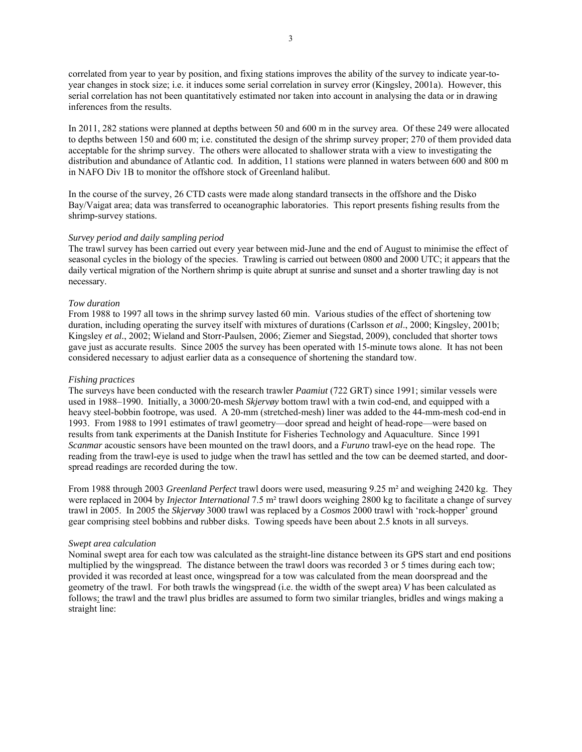correlated from year to year by position, and fixing stations improves the ability of the survey to indicate year-toyear changes in stock size; i.e. it induces some serial correlation in survey error (Kingsley, 2001a). However, this serial correlation has not been quantitatively estimated nor taken into account in analysing the data or in drawing inferences from the results.

In 2011, 282 stations were planned at depths between 50 and 600 m in the survey area. Of these 249 were allocated to depths between 150 and 600 m; i.e. constituted the design of the shrimp survey proper; 270 of them provided data acceptable for the shrimp survey. The others were allocated to shallower strata with a view to investigating the distribution and abundance of Atlantic cod. In addition, 11 stations were planned in waters between 600 and 800 m in NAFO Div 1B to monitor the offshore stock of Greenland halibut.

In the course of the survey, 26 CTD casts were made along standard transects in the offshore and the Disko Bay/Vaigat area; data was transferred to oceanographic laboratories. This report presents fishing results from the shrimp-survey stations.

## *Survey period and daily sampling period*

The trawl survey has been carried out every year between mid-June and the end of August to minimise the effect of seasonal cycles in the biology of the species. Trawling is carried out between 0800 and 2000 UTC; it appears that the daily vertical migration of the Northern shrimp is quite abrupt at sunrise and sunset and a shorter trawling day is not necessary.

#### *Tow duration*

From 1988 to 1997 all tows in the shrimp survey lasted 60 min. Various studies of the effect of shortening tow duration, including operating the survey itself with mixtures of durations (Carlsson *et al*., 2000; Kingsley, 2001b; Kingsley *et al.*, 2002; Wieland and Storr-Paulsen, 2006; Ziemer and Siegstad, 2009), concluded that shorter tows gave just as accurate results. Since 2005 the survey has been operated with 15-minute tows alone. It has not been considered necessary to adjust earlier data as a consequence of shortening the standard tow.

#### *Fishing practices*

The surveys have been conducted with the research trawler *Paamiut* (722 GRT) since 1991; similar vessels were used in 1988–1990. Initially, a 3000/20-mesh *Skjervøy* bottom trawl with a twin cod-end, and equipped with a heavy steel-bobbin footrope, was used. A 20-mm (stretched-mesh) liner was added to the 44-mm-mesh cod-end in 1993. From 1988 to 1991 estimates of trawl geometry—door spread and height of head-rope—were based on results from tank experiments at the Danish Institute for Fisheries Technology and Aquaculture. Since 1991 *Scanmar* acoustic sensors have been mounted on the trawl doors, and a *Furuno* trawl-eye on the head rope. The reading from the trawl-eye is used to judge when the trawl has settled and the tow can be deemed started, and doorspread readings are recorded during the tow.

From 1988 through 2003 *Greenland Perfect* trawl doors were used, measuring 9.25 m² and weighing 2420 kg. They were replaced in 2004 by *Injector International* 7.5 m² trawl doors weighing 2800 kg to facilitate a change of survey trawl in 2005. In 2005 the *Skjervøy* 3000 trawl was replaced by a *Cosmos* 2000 trawl with 'rock-hopper' ground gear comprising steel bobbins and rubber disks. Towing speeds have been about 2.5 knots in all surveys.

#### *Swept area calculation*

Nominal swept area for each tow was calculated as the straight-line distance between its GPS start and end positions multiplied by the wingspread. The distance between the trawl doors was recorded 3 or 5 times during each tow; provided it was recorded at least once, wingspread for a tow was calculated from the mean doorspread and the geometry of the trawl. For both trawls the wingspread (i.e. the width of the swept area) *V* has been calculated as follows: the trawl and the trawl plus bridles are assumed to form two similar triangles, bridles and wings making a straight line: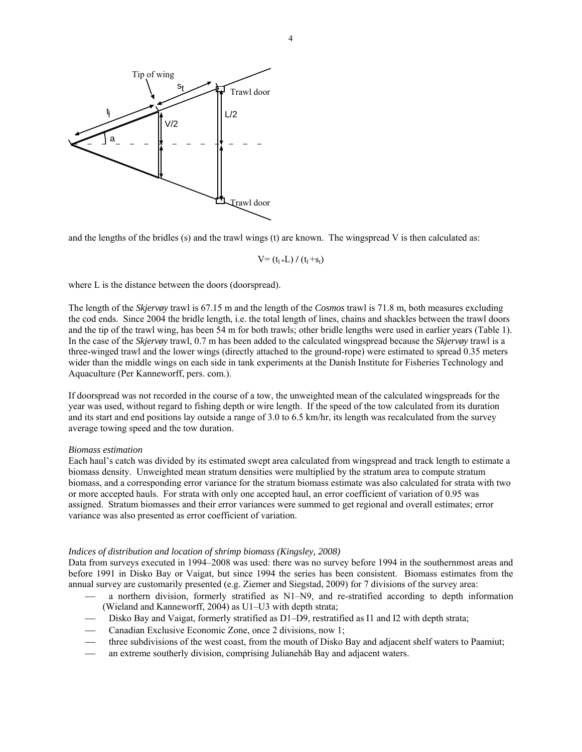

and the lengths of the bridles (s) and the trawl wings (t) are known. The wingspread V is then calculated as:

$$
V=(t_1 * L) / (t_1 + s_t)
$$

where L is the distance between the doors (doorspread).

The length of the *Skjervøy* trawl is 67.15 m and the length of the *Cosmos* trawl is 71.8 m, both measures excluding the cod ends. Since 2004 the bridle length, i.e. the total length of lines, chains and shackles between the trawl doors and the tip of the trawl wing, has been 54 m for both trawls; other bridle lengths were used in earlier years (Table 1). In the case of the *Skjervøy* trawl, 0.7 m has been added to the calculated wingspread because the *Skjervøy* trawl is a three-winged trawl and the lower wings (directly attached to the ground-rope) were estimated to spread 0.35 meters wider than the middle wings on each side in tank experiments at the Danish Institute for Fisheries Technology and Aquaculture (Per Kanneworff, pers. com.).

If doorspread was not recorded in the course of a tow, the unweighted mean of the calculated wingspreads for the year was used, without regard to fishing depth or wire length. If the speed of the tow calculated from its duration and its start and end positions lay outside a range of 3.0 to 6.5 km/hr, its length was recalculated from the survey average towing speed and the tow duration.

## *Biomass estimation*

Each haul's catch was divided by its estimated swept area calculated from wingspread and track length to estimate a biomass density. Unweighted mean stratum densities were multiplied by the stratum area to compute stratum biomass, and a corresponding error variance for the stratum biomass estimate was also calculated for strata with two or more accepted hauls. For strata with only one accepted haul, an error coefficient of variation of 0.95 was assigned. Stratum biomasses and their error variances were summed to get regional and overall estimates; error variance was also presented as error coefficient of variation.

## *Indices of distribution and location of shrimp biomass (Kingsley, 2008)*

Data from surveys executed in 1994–2008 was used: there was no survey before 1994 in the southernmost areas and before 1991 in Disko Bay or Vaigat, but since 1994 the series has been consistent. Biomass estimates from the annual survey are customarily presented (e.g. Ziemer and Siegstad, 2009) for 7 divisions of the survey area:

- a northern division, formerly stratified as N1–N9, and re-stratified according to depth information (Wieland and Kanneworff, 2004) as U1–U3 with depth strata;
- Disko Bay and Vaigat, formerly stratified as D1–D9, restratified as I1 and I2 with depth strata;
- Canadian Exclusive Economic Zone, once 2 divisions, now 1;
- three subdivisions of the west coast, from the mouth of Disko Bay and adjacent shelf waters to Paamiut;
- an extreme southerly division, comprising Julianehåb Bay and adjacent waters.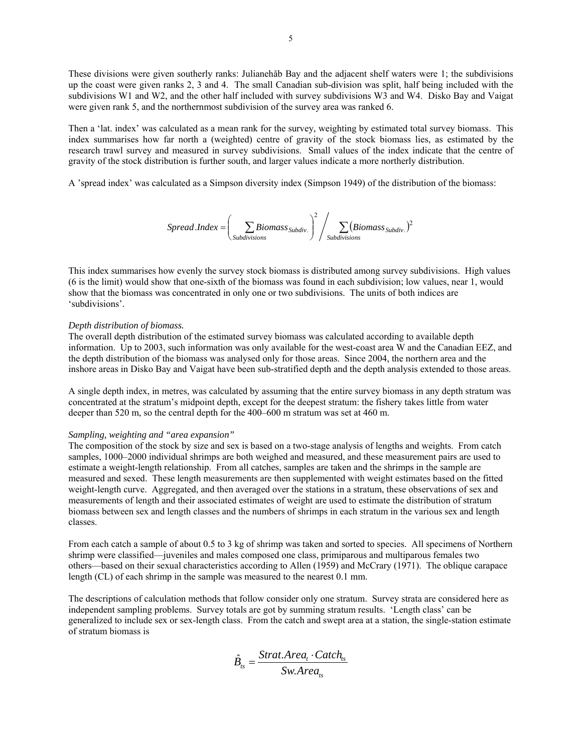These divisions were given southerly ranks: Julianehåb Bay and the adjacent shelf waters were 1; the subdivisions up the coast were given ranks 2, 3 and 4. The small Canadian sub-division was split, half being included with the subdivisions W1 and W2, and the other half included with survey subdivisions W3 and W4. Disko Bay and Vaigat were given rank 5, and the northernmost subdivision of the survey area was ranked 6.

Then a 'lat. index' was calculated as a mean rank for the survey, weighting by estimated total survey biomass. This index summarises how far north a (weighted) centre of gravity of the stock biomass lies, as estimated by the research trawl survey and measured in survey subdivisions. Small values of the index indicate that the centre of gravity of the stock distribution is further south, and larger values indicate a more northerly distribution.

A 'spread index' was calculated as a Simpson diversity index (Simpson 1949) of the distribution of the biomass:

$$
Spread. Index = \left(\sum_{Subdivisions} \sum_{Subdivions} \right)^2 / \sum_{Subdivisions} (Biomass_{Subdiv.})^2
$$

This index summarises how evenly the survey stock biomass is distributed among survey subdivisions. High values (6 is the limit) would show that one-sixth of the biomass was found in each subdivision; low values, near 1, would show that the biomass was concentrated in only one or two subdivisions. The units of both indices are 'subdivisions'.

## *Depth distribution of biomass.*

The overall depth distribution of the estimated survey biomass was calculated according to available depth information. Up to 2003, such information was only available for the west-coast area W and the Canadian EEZ, and the depth distribution of the biomass was analysed only for those areas. Since 2004, the northern area and the inshore areas in Disko Bay and Vaigat have been sub-stratified depth and the depth analysis extended to those areas.

A single depth index, in metres, was calculated by assuming that the entire survey biomass in any depth stratum was concentrated at the stratum's midpoint depth, except for the deepest stratum: the fishery takes little from water deeper than 520 m, so the central depth for the 400–600 m stratum was set at 460 m.

## *Sampling, weighting and "area expansion"*

The composition of the stock by size and sex is based on a two-stage analysis of lengths and weights. From catch samples, 1000–2000 individual shrimps are both weighed and measured, and these measurement pairs are used to estimate a weight-length relationship. From all catches, samples are taken and the shrimps in the sample are measured and sexed. These length measurements are then supplemented with weight estimates based on the fitted weight-length curve. Aggregated, and then averaged over the stations in a stratum, these observations of sex and measurements of length and their associated estimates of weight are used to estimate the distribution of stratum biomass between sex and length classes and the numbers of shrimps in each stratum in the various sex and length classes.

From each catch a sample of about 0.5 to 3 kg of shrimp was taken and sorted to species. All specimens of Northern shrimp were classified—juveniles and males composed one class, primiparous and multiparous females two others—based on their sexual characteristics according to Allen (1959) and McCrary (1971). The oblique carapace length (CL) of each shrimp in the sample was measured to the nearest 0.1 mm.

The descriptions of calculation methods that follow consider only one stratum. Survey strata are considered here as independent sampling problems. Survey totals are got by summing stratum results. 'Length class' can be generalized to include sex or sex-length class. From the catch and swept area at a station, the single-station estimate of stratum biomass is

$$
\hat{B}_{ts} = \frac{Strat. Area_t \cdot Catch_{ts}}{Sw. Area_{ts}}
$$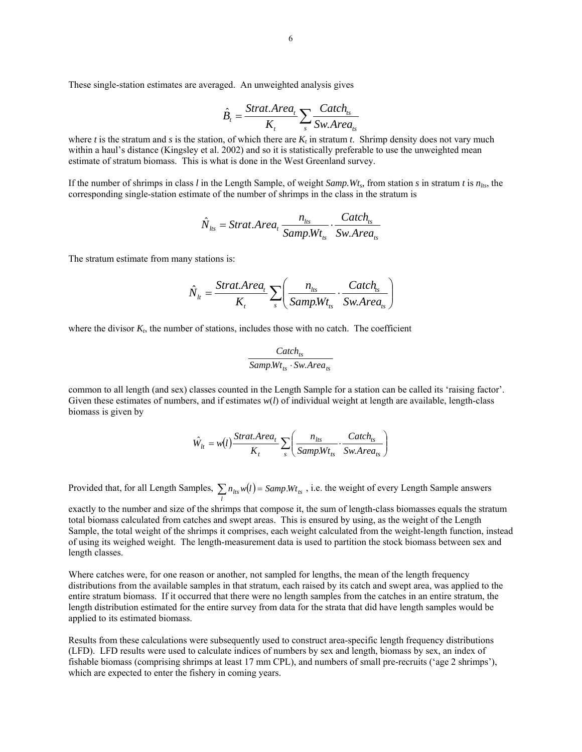These single-station estimates are averaged. An unweighted analysis gives

$$
\hat{B}_t = \frac{Strat.Area_t}{K_t} \sum_s \frac{Catch_{ts}}{Sw. Area_{ts}}
$$

where  $t$  is the stratum and  $s$  is the station, of which there are  $K_t$  in stratum  $t$ . Shrimp density does not vary much within a haul's distance (Kingsley et al. 2002) and so it is statistically preferable to use the unweighted mean estimate of stratum biomass. This is what is done in the West Greenland survey.

If the number of shrimps in class *l* in the Length Sample, of weight *Samp.Wt<sub>s</sub>*, from station *s* in stratum *t* is  $n_{lts}$ , the corresponding single-station estimate of the number of shrimps in the class in the stratum is

$$
\hat{N}_{\text{lts}} = \text{Strat}.\text{Area}_{t} \frac{n_{\text{lts}}}{\text{Samp}.\text{Wt}_{\text{ts}}} \cdot \frac{\text{Catch}_{\text{ts}}}{\text{Sw}.\text{Area}_{\text{ts}}}
$$

The stratum estimate from many stations is:

$$
\hat{N}_{lt} = \frac{Strat. Area_t}{K_t} \sum_{s} \left( \frac{n_{lts}}{Samp.Wt_{ts}} \cdot \frac{Catch_{ts}}{Sw. Area_{ts}} \right)
$$

where the divisor  $K_t$ , the number of stations, includes those with no catch. The coefficient

$$
\frac{Catch_{ts}}{Samp.Wt_{ts} \cdot Sw. Area_{ts}}
$$

common to all length (and sex) classes counted in the Length Sample for a station can be called its 'raising factor'. Given these estimates of numbers, and if estimates  $w(l)$  of individual weight at length are available, length-class biomass is given by

$$
\hat{W}_{lt} = w(t) \frac{Strat. Area_t}{K_t} \sum_s \left( \frac{n_{lts}}{Samp.Wt_{ts}} \cdot \frac{Catch_{ts}}{Sw. Area_{ts}} \right)
$$

Provided that, for all Length Samples,  $\sum_l n_{lts} w(l) =$  *Samp W<sub>t<sub>ts</sub>*</sub>, i.e. the weight of every Length Sample answers

exactly to the number and size of the shrimps that compose it, the sum of length-class biomasses equals the stratum total biomass calculated from catches and swept areas. This is ensured by using, as the weight of the Length Sample, the total weight of the shrimps it comprises, each weight calculated from the weight-length function, instead of using its weighed weight. The length-measurement data is used to partition the stock biomass between sex and length classes.

Where catches were, for one reason or another, not sampled for lengths, the mean of the length frequency distributions from the available samples in that stratum, each raised by its catch and swept area, was applied to the entire stratum biomass. If it occurred that there were no length samples from the catches in an entire stratum, the length distribution estimated for the entire survey from data for the strata that did have length samples would be applied to its estimated biomass.

Results from these calculations were subsequently used to construct area-specific length frequency distributions (LFD). LFD results were used to calculate indices of numbers by sex and length, biomass by sex, an index of fishable biomass (comprising shrimps at least 17 mm CPL), and numbers of small pre-recruits ('age 2 shrimps'), which are expected to enter the fishery in coming years.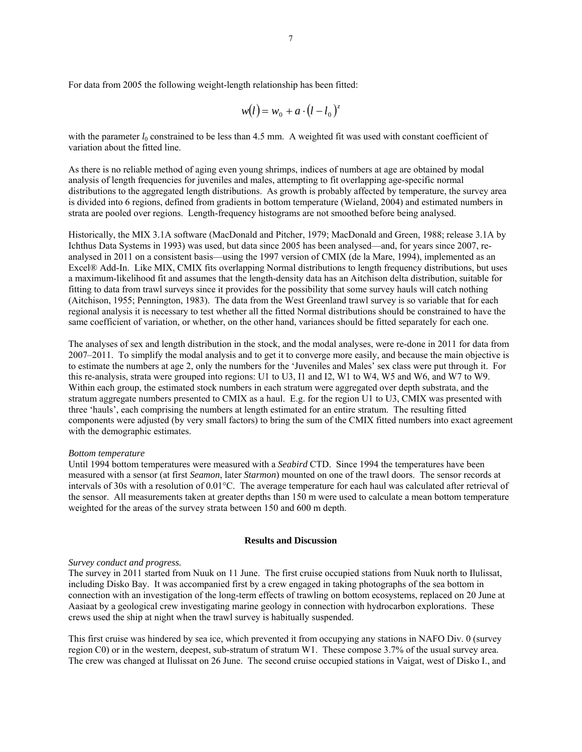For data from 2005 the following weight-length relationship has been fitted:

$$
w(l) = w_0 + a \cdot (l - l_0)^z
$$

with the parameter *l*<sub>0</sub> constrained to be less than 4.5 mm. A weighted fit was used with constant coefficient of variation about the fitted line.

As there is no reliable method of aging even young shrimps, indices of numbers at age are obtained by modal analysis of length frequencies for juveniles and males, attempting to fit overlapping age-specific normal distributions to the aggregated length distributions. As growth is probably affected by temperature, the survey area is divided into 6 regions, defined from gradients in bottom temperature (Wieland, 2004) and estimated numbers in strata are pooled over regions. Length-frequency histograms are not smoothed before being analysed.

Historically, the MIX 3.1A software (MacDonald and Pitcher, 1979; MacDonald and Green, 1988; release 3.1A by Ichthus Data Systems in 1993) was used, but data since 2005 has been analysed—and, for years since 2007, reanalysed in 2011 on a consistent basis—using the 1997 version of CMIX (de la Mare, 1994), implemented as an Excel® Add-In. Like MIX, CMIX fits overlapping Normal distributions to length frequency distributions, but uses a maximum-likelihood fit and assumes that the length-density data has an Aitchison delta distribution, suitable for fitting to data from trawl surveys since it provides for the possibility that some survey hauls will catch nothing (Aitchison, 1955; Pennington, 1983). The data from the West Greenland trawl survey is so variable that for each regional analysis it is necessary to test whether all the fitted Normal distributions should be constrained to have the same coefficient of variation, or whether, on the other hand, variances should be fitted separately for each one.

The analyses of sex and length distribution in the stock, and the modal analyses, were re-done in 2011 for data from 2007–2011. To simplify the modal analysis and to get it to converge more easily, and because the main objective is to estimate the numbers at age 2, only the numbers for the 'Juveniles and Males' sex class were put through it. For this re-analysis, strata were grouped into regions: U1 to U3, I1 and I2, W1 to W4, W5 and W6, and W7 to W9. Within each group, the estimated stock numbers in each stratum were aggregated over depth substrata, and the stratum aggregate numbers presented to CMIX as a haul. E.g. for the region U1 to U3, CMIX was presented with three 'hauls', each comprising the numbers at length estimated for an entire stratum. The resulting fitted components were adjusted (by very small factors) to bring the sum of the CMIX fitted numbers into exact agreement with the demographic estimates.

#### *Bottom temperature*

Until 1994 bottom temperatures were measured with a *Seabird* CTD. Since 1994 the temperatures have been measured with a sensor (at first *Seamon*, later *Starmon*) mounted on one of the trawl doors. The sensor records at intervals of 30s with a resolution of 0.01°C. The average temperature for each haul was calculated after retrieval of the sensor. All measurements taken at greater depths than 150 m were used to calculate a mean bottom temperature weighted for the areas of the survey strata between 150 and 600 m depth.

#### **Results and Discussion**

## *Survey conduct and progress.*

The survey in 2011 started from Nuuk on 11 June. The first cruise occupied stations from Nuuk north to Ilulissat, including Disko Bay. It was accompanied first by a crew engaged in taking photographs of the sea bottom in connection with an investigation of the long-term effects of trawling on bottom ecosystems, replaced on 20 June at Aasiaat by a geological crew investigating marine geology in connection with hydrocarbon explorations. These crews used the ship at night when the trawl survey is habitually suspended.

This first cruise was hindered by sea ice, which prevented it from occupying any stations in NAFO Div. 0 (survey region C0) or in the western, deepest, sub-stratum of stratum W1. These compose 3.7% of the usual survey area. The crew was changed at Ilulissat on 26 June. The second cruise occupied stations in Vaigat, west of Disko I., and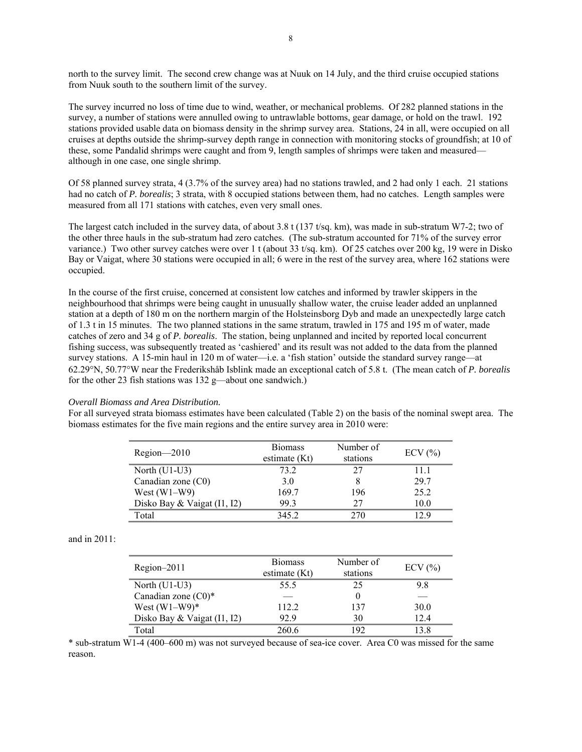north to the survey limit. The second crew change was at Nuuk on 14 July, and the third cruise occupied stations from Nuuk south to the southern limit of the survey.

The survey incurred no loss of time due to wind, weather, or mechanical problems. Of 282 planned stations in the survey, a number of stations were annulled owing to untrawlable bottoms, gear damage, or hold on the trawl. 192 stations provided usable data on biomass density in the shrimp survey area. Stations, 24 in all, were occupied on all cruises at depths outside the shrimp-survey depth range in connection with monitoring stocks of groundfish; at 10 of these, some Pandalid shrimps were caught and from 9, length samples of shrimps were taken and measured although in one case, one single shrimp.

Of 58 planned survey strata, 4 (3.7% of the survey area) had no stations trawled, and 2 had only 1 each. 21 stations had no catch of *P. borealis*; 3 strata, with 8 occupied stations between them, had no catches. Length samples were measured from all 171 stations with catches, even very small ones.

The largest catch included in the survey data, of about 3.8 t (137 t/sq. km), was made in sub-stratum W7-2; two of the other three hauls in the sub-stratum had zero catches. (The sub-stratum accounted for 71% of the survey error variance.) Two other survey catches were over 1 t (about 33 t/sq. km). Of 25 catches over 200 kg, 19 were in Disko Bay or Vaigat, where 30 stations were occupied in all; 6 were in the rest of the survey area, where 162 stations were occupied.

In the course of the first cruise, concerned at consistent low catches and informed by trawler skippers in the neighbourhood that shrimps were being caught in unusually shallow water, the cruise leader added an unplanned station at a depth of 180 m on the northern margin of the Holsteinsborg Dyb and made an unexpectedly large catch of 1.3 t in 15 minutes. The two planned stations in the same stratum, trawled in 175 and 195 m of water, made catches of zero and 34 g of *P. borealis*. The station, being unplanned and incited by reported local concurrent fishing success, was subsequently treated as 'cashiered' and its result was not added to the data from the planned survey stations. A 15-min haul in 120 m of water—i.e. a 'fish station' outside the standard survey range—at 62.29°N, 50.77°W near the Frederikshåb Isblink made an exceptional catch of 5.8 t. (The mean catch of *P. borealis* for the other 23 fish stations was 132 g—about one sandwich.)

## *Overall Biomass and Area Distribution.*

For all surveyed strata biomass estimates have been calculated (Table 2) on the basis of the nominal swept area. The biomass estimates for the five main regions and the entire survey area in 2010 were:

| $Region - 2010$             | <b>Biomass</b><br>estimate (Kt) | Number of<br>stations | $ECV$ $(\%)$ |
|-----------------------------|---------------------------------|-----------------------|--------------|
| North $(U1-U3)$             | 73.2                            | 27                    | 11.1         |
| Canadian zone (C0)          | 3.0                             |                       | 29.7         |
| West $(W1-W9)$              | 169.7                           | 196                   | 25.2         |
| Disko Bay & Vaigat (I1, I2) | 993                             | 27                    | 10.0         |
| Total                       | 345.2                           | 270                   | 12.9         |

| $Region-2011$               | <b>Biomass</b><br>estimate (Kt) | Number of<br>stations | $ECV$ $(\%$ |
|-----------------------------|---------------------------------|-----------------------|-------------|
| North $(U1-U3)$             | 55.5                            | 25                    | 9.8         |
| Canadian zone $(C0)^*$      |                                 |                       |             |
| West $(W1-W9)*$             | 112.2                           | 137                   | 30.0        |
| Disko Bay & Vaigat (I1, I2) | 92.9                            | 30                    | 12.4        |
| Total                       | 260.6                           | 192                   | 13 8        |

\* sub-stratum W1-4 (400–600 m) was not surveyed because of sea-ice cover. Area C0 was missed for the same reason.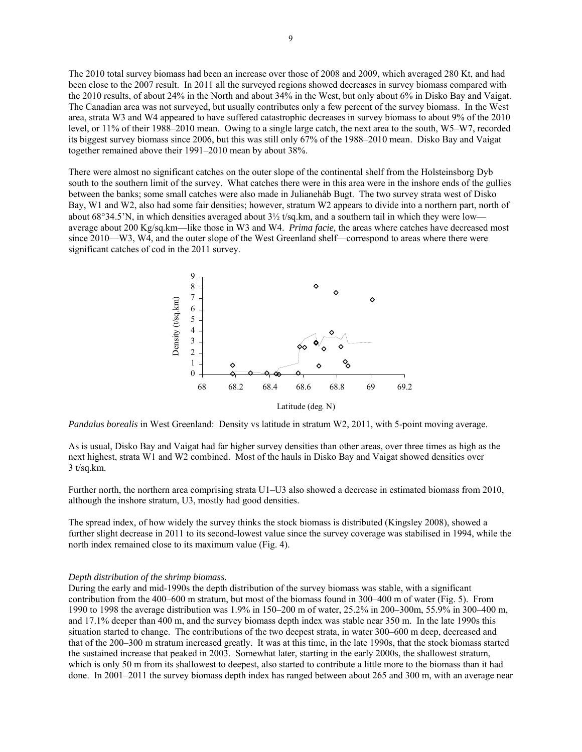The 2010 total survey biomass had been an increase over those of 2008 and 2009, which averaged 280 Kt, and had been close to the 2007 result. In 2011 all the surveyed regions showed decreases in survey biomass compared with the 2010 results, of about 24% in the North and about 34% in the West, but only about 6% in Disko Bay and Vaigat. The Canadian area was not surveyed, but usually contributes only a few percent of the survey biomass. In the West area, strata W3 and W4 appeared to have suffered catastrophic decreases in survey biomass to about 9% of the 2010 level, or 11% of their 1988–2010 mean. Owing to a single large catch, the next area to the south, W5–W7, recorded its biggest survey biomass since 2006, but this was still only 67% of the 1988–2010 mean. Disko Bay and Vaigat together remained above their 1991–2010 mean by about 38%.

There were almost no significant catches on the outer slope of the continental shelf from the Holsteinsborg Dyb south to the southern limit of the survey. What catches there were in this area were in the inshore ends of the gullies between the banks; some small catches were also made in Julianehåb Bugt. The two survey strata west of Disko Bay, W1 and W2, also had some fair densities; however, stratum W2 appears to divide into a northern part, north of about 68°34.5'N, in which densities averaged about 3½ t/sq.km, and a southern tail in which they were low average about 200 Kg/sq.km—like those in W3 and W4. *Prima facie,* the areas where catches have decreased most since 2010—W3, W4, and the outer slope of the West Greenland shelf—correspond to areas where there were significant catches of cod in the 2011 survey.



*Pandalus borealis* in West Greenland: Density vs latitude in stratum W2, 2011, with 5-point moving average.

As is usual, Disko Bay and Vaigat had far higher survey densities than other areas, over three times as high as the next highest, strata W1 and W2 combined. Most of the hauls in Disko Bay and Vaigat showed densities over  $3$  t/sq.km.

Further north, the northern area comprising strata U1–U3 also showed a decrease in estimated biomass from 2010, although the inshore stratum, U3, mostly had good densities.

The spread index, of how widely the survey thinks the stock biomass is distributed (Kingsley 2008), showed a further slight decrease in 2011 to its second-lowest value since the survey coverage was stabilised in 1994, while the north index remained close to its maximum value (Fig. 4).

#### *Depth distribution of the shrimp biomass.*

During the early and mid-1990s the depth distribution of the survey biomass was stable, with a significant contribution from the 400–600 m stratum, but most of the biomass found in 300–400 m of water (Fig. 5). From 1990 to 1998 the average distribution was 1.9% in 150–200 m of water, 25.2% in 200–300m, 55.9% in 300–400 m, and 17.1% deeper than 400 m, and the survey biomass depth index was stable near 350 m. In the late 1990s this situation started to change. The contributions of the two deepest strata, in water 300–600 m deep, decreased and that of the 200–300 m stratum increased greatly. It was at this time, in the late 1990s, that the stock biomass started the sustained increase that peaked in 2003. Somewhat later, starting in the early 2000s, the shallowest stratum, which is only 50 m from its shallowest to deepest, also started to contribute a little more to the biomass than it had done. In 2001–2011 the survey biomass depth index has ranged between about 265 and 300 m, with an average near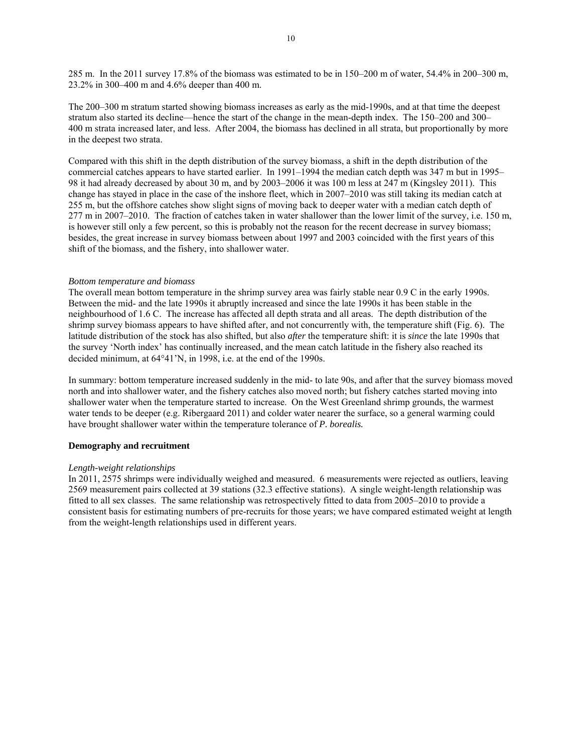285 m. In the 2011 survey 17.8% of the biomass was estimated to be in 150–200 m of water, 54.4% in 200–300 m, 23.2% in 300–400 m and 4.6% deeper than 400 m.

The 200–300 m stratum started showing biomass increases as early as the mid-1990s, and at that time the deepest stratum also started its decline—hence the start of the change in the mean-depth index. The 150–200 and 300– 400 m strata increased later, and less. After 2004, the biomass has declined in all strata, but proportionally by more in the deepest two strata.

Compared with this shift in the depth distribution of the survey biomass, a shift in the depth distribution of the commercial catches appears to have started earlier. In 1991–1994 the median catch depth was 347 m but in 1995– 98 it had already decreased by about 30 m, and by 2003–2006 it was 100 m less at 247 m (Kingsley 2011). This change has stayed in place in the case of the inshore fleet, which in 2007–2010 was still taking its median catch at 255 m, but the offshore catches show slight signs of moving back to deeper water with a median catch depth of 277 m in 2007–2010. The fraction of catches taken in water shallower than the lower limit of the survey, i.e. 150 m, is however still only a few percent, so this is probably not the reason for the recent decrease in survey biomass; besides, the great increase in survey biomass between about 1997 and 2003 coincided with the first years of this shift of the biomass, and the fishery, into shallower water.

## *Bottom temperature and biomass*

The overall mean bottom temperature in the shrimp survey area was fairly stable near 0.9 C in the early 1990s. Between the mid- and the late 1990s it abruptly increased and since the late 1990s it has been stable in the neighbourhood of 1.6 C. The increase has affected all depth strata and all areas. The depth distribution of the shrimp survey biomass appears to have shifted after, and not concurrently with, the temperature shift (Fig. 6). The latitude distribution of the stock has also shifted, but also *after* the temperature shift: it is *since* the late 1990s that the survey 'North index' has continually increased, and the mean catch latitude in the fishery also reached its decided minimum, at 64°41'N, in 1998, i.e. at the end of the 1990s.

In summary: bottom temperature increased suddenly in the mid- to late 90s, and after that the survey biomass moved north and into shallower water, and the fishery catches also moved north; but fishery catches started moving into shallower water when the temperature started to increase. On the West Greenland shrimp grounds, the warmest water tends to be deeper (e.g. Ribergaard 2011) and colder water nearer the surface, so a general warming could have brought shallower water within the temperature tolerance of *P. borealis.*

#### **Demography and recruitment**

#### *Length-weight relationships*

In 2011, 2575 shrimps were individually weighed and measured. 6 measurements were rejected as outliers, leaving 2569 measurement pairs collected at 39 stations (32.3 effective stations). A single weight-length relationship was fitted to all sex classes. The same relationship was retrospectively fitted to data from 2005–2010 to provide a consistent basis for estimating numbers of pre-recruits for those years; we have compared estimated weight at length from the weight-length relationships used in different years.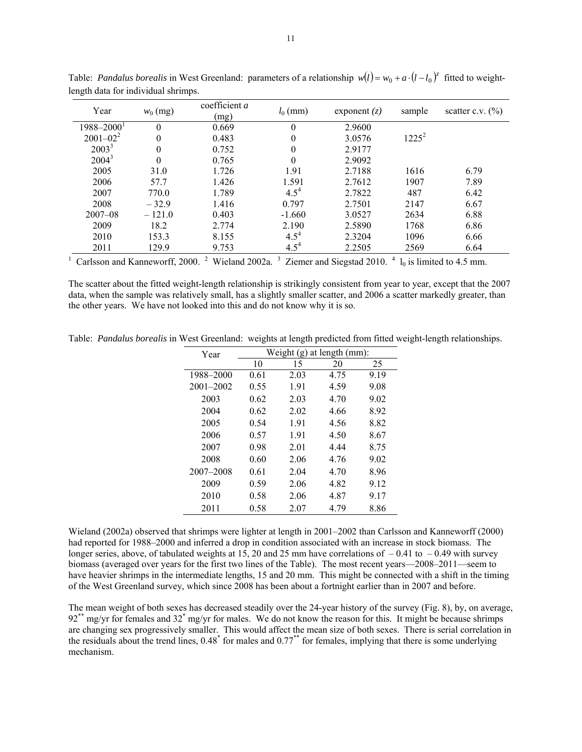| Year            | $w_0$ (mg) | coefficient a<br>(mg) | $l_0$ (mm)       | exponent $(z)$ | sample   | scatter c.v. $(\% )$ |
|-----------------|------------|-----------------------|------------------|----------------|----------|----------------------|
| $1988 - 2000^1$ | $\theta$   | 0.669                 | 0                | 2.9600         |          |                      |
| $2001 - 02^2$   | $\theta$   | 0.483                 | $\boldsymbol{0}$ | 3.0576         | $1225^2$ |                      |
| $2003^3$        | $\theta$   | 0.752                 | 0                | 2.9177         |          |                      |
| $2004^3$        | $\theta$   | 0.765                 | $\boldsymbol{0}$ | 2.9092         |          |                      |
| 2005            | 31.0       | 1.726                 | 1.91             | 2.7188         | 1616     | 6.79                 |
| 2006            | 57.7       | 1.426                 | 1.591            | 2.7612         | 1907     | 7.89                 |
| 2007            | 770.0      | 1.789                 | $4.5^{4}$        | 2.7822         | 487      | 6.42                 |
| 2008            | $-32.9$    | 1.416                 | 0.797            | 2.7501         | 2147     | 6.67                 |
| $2007 - 08$     | $-121.0$   | 0.403                 | $-1.660$         | 3.0527         | 2634     | 6.88                 |
| 2009            | 18.2       | 2.774                 | 2.190            | 2.5890         | 1768     | 6.86                 |
| 2010            | 153.3      | 8.155                 | $4.5^{4}$        | 2.3204         | 1096     | 6.66                 |
| 2011            | 129.9      | 9.753                 | $4.5^{4}$        | 2.2505         | 2569     | 6.64                 |

Table: *Pandalus borealis* in West Greenland: parameters of a relationship  $w(l) = w_0 + a \cdot (l - l_0)^z$  fitted to weightlength data for individual shrimps.

<sup>1</sup> Carlsson and Kanneworff, 2000. <sup>2</sup> Wieland 2002a. <sup>3</sup> Ziemer and Siegstad 2010. <sup>4</sup>  $l_0$  is limited to 4.5 mm.

The scatter about the fitted weight-length relationship is strikingly consistent from year to year, except that the 2007 data, when the sample was relatively small, has a slightly smaller scatter, and 2006 a scatter markedly greater, than the other years. We have not looked into this and do not know why it is so.

Table: *Pandalus borealis* in West Greenland: weights at length predicted from fitted weight-length relationships.

| Year          |      | Weight $(g)$ at length $(mm)$ : |      |      |
|---------------|------|---------------------------------|------|------|
|               | 10   | 15                              | 20   | 25   |
| 1988–2000     | 0.61 | 2.03                            | 4.75 | 9.19 |
| $2001 - 2002$ | 0.55 | 1.91                            | 4.59 | 9.08 |
| 2003          | 0.62 | 2.03                            | 4.70 | 9.02 |
| 2004          | 0.62 | 2.02                            | 4.66 | 8.92 |
| 2005          | 0.54 | 1.91                            | 4.56 | 8.82 |
| 2006          | 0.57 | 1.91                            | 4.50 | 8.67 |
| 2007          | 0.98 | 2.01                            | 4.44 | 8.75 |
| 2008          | 0.60 | 2.06                            | 4.76 | 9.02 |
| 2007–2008     | 0.61 | 2.04                            | 4.70 | 8.96 |
| 2009          | 0.59 | 2.06                            | 4.82 | 9.12 |
| 2010          | 0.58 | 2.06                            | 4.87 | 9.17 |
| 2011          | 0.58 | 2.07                            | 4.79 | 8.86 |

Wieland (2002a) observed that shrimps were lighter at length in 2001–2002 than Carlsson and Kanneworff (2000) had reported for 1988–2000 and inferred a drop in condition associated with an increase in stock biomass. The longer series, above, of tabulated weights at 15, 20 and 25 mm have correlations of  $-0.41$  to  $-0.49$  with survey biomass (averaged over years for the first two lines of the Table). The most recent years—2008–2011—seem to have heavier shrimps in the intermediate lengths, 15 and 20 mm. This might be connected with a shift in the timing of the West Greenland survey, which since 2008 has been about a fortnight earlier than in 2007 and before.

The mean weight of both sexes has decreased steadily over the 24-year history of the survey (Fig. 8), by, on average,  $92^{**}$  mg/yr for females and  $32^{*}$  mg/yr for males. We do not know the reason for this. It might be because shrimps are changing sex progressively smaller. This would affect the mean size of both sexes. There is serial correlation in the residuals about the trend lines, 0.48<sup>\*</sup> for males and 0.77<sup>\*\*</sup> for females, implying that there is some underlying mechanism.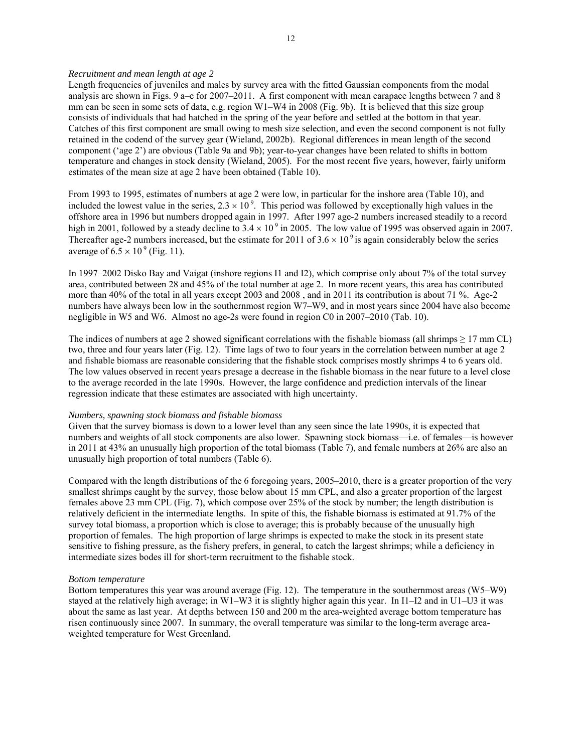## *Recruitment and mean length at age 2*

Length frequencies of juveniles and males by survey area with the fitted Gaussian components from the modal analysis are shown in Figs. 9 a–e for 2007–2011. A first component with mean carapace lengths between 7 and 8 mm can be seen in some sets of data, e.g. region W1–W4 in 2008 (Fig. 9b). It is believed that this size group consists of individuals that had hatched in the spring of the year before and settled at the bottom in that year. Catches of this first component are small owing to mesh size selection, and even the second component is not fully retained in the codend of the survey gear (Wieland, 2002b). Regional differences in mean length of the second component ('age 2') are obvious (Table 9a and 9b); year-to-year changes have been related to shifts in bottom temperature and changes in stock density (Wieland, 2005). For the most recent five years, however, fairly uniform estimates of the mean size at age 2 have been obtained (Table 10).

From 1993 to 1995, estimates of numbers at age 2 were low, in particular for the inshore area (Table 10), and included the lowest value in the series,  $2.3 \times 10^9$ . This period was followed by exceptionally high values in the offshore area in 1996 but numbers dropped again in 1997. After 1997 age-2 numbers increased steadily to a record high in 2001, followed by a steady decline to  $3.4 \times 10^9$  in 2005. The low value of 1995 was observed again in 2007. Thereafter age-2 numbers increased, but the estimate for 2011 of  $3.6 \times 10^{9}$  is again considerably below the series average of  $6.5 \times 10^{9}$  (Fig. 11).

In 1997–2002 Disko Bay and Vaigat (inshore regions I1 and I2), which comprise only about 7% of the total survey area, contributed between 28 and 45% of the total number at age 2. In more recent years, this area has contributed more than 40% of the total in all years except 2003 and 2008, and in 2011 its contribution is about 71 %. Age-2 numbers have always been low in the southernmost region W7–W9, and in most years since 2004 have also become negligible in W5 and W6. Almost no age-2s were found in region C0 in 2007–2010 (Tab. 10).

The indices of numbers at age 2 showed significant correlations with the fishable biomass (all shrimps  $\geq$  17 mm CL) two, three and four years later (Fig. 12). Time lags of two to four years in the correlation between number at age 2 and fishable biomass are reasonable considering that the fishable stock comprises mostly shrimps 4 to 6 years old. The low values observed in recent years presage a decrease in the fishable biomass in the near future to a level close to the average recorded in the late 1990s. However, the large confidence and prediction intervals of the linear regression indicate that these estimates are associated with high uncertainty.

#### *Numbers, spawning stock biomass and fishable biomass*

Given that the survey biomass is down to a lower level than any seen since the late 1990s, it is expected that numbers and weights of all stock components are also lower. Spawning stock biomass—i.e. of females—is however in 2011 at 43% an unusually high proportion of the total biomass (Table 7), and female numbers at 26% are also an unusually high proportion of total numbers (Table 6).

Compared with the length distributions of the 6 foregoing years, 2005–2010, there is a greater proportion of the very smallest shrimps caught by the survey, those below about 15 mm CPL, and also a greater proportion of the largest females above 23 mm CPL (Fig. 7), which compose over 25% of the stock by number; the length distribution is relatively deficient in the intermediate lengths. In spite of this, the fishable biomass is estimated at 91.7% of the survey total biomass, a proportion which is close to average; this is probably because of the unusually high proportion of females. The high proportion of large shrimps is expected to make the stock in its present state sensitive to fishing pressure, as the fishery prefers, in general, to catch the largest shrimps; while a deficiency in intermediate sizes bodes ill for short-term recruitment to the fishable stock.

#### *Bottom temperature*

Bottom temperatures this year was around average (Fig. 12). The temperature in the southernmost areas (W5–W9) stayed at the relatively high average; in W1–W3 it is slightly higher again this year. In I1–I2 and in U1–U3 it was about the same as last year. At depths between 150 and 200 m the area-weighted average bottom temperature has risen continuously since 2007. In summary, the overall temperature was similar to the long-term average areaweighted temperature for West Greenland.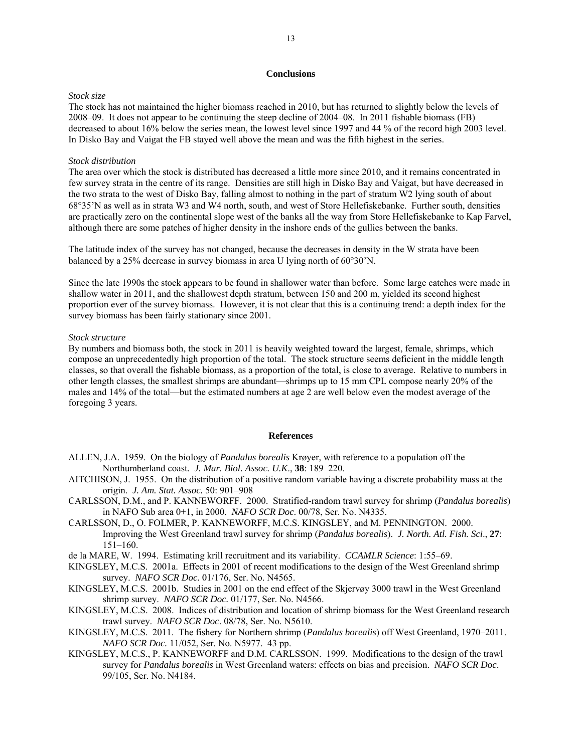## **Conclusions**

## *Stock size*

The stock has not maintained the higher biomass reached in 2010, but has returned to slightly below the levels of 2008–09. It does not appear to be continuing the steep decline of 2004–08. In 2011 fishable biomass (FB) decreased to about 16% below the series mean, the lowest level since 1997 and 44 % of the record high 2003 level. In Disko Bay and Vaigat the FB stayed well above the mean and was the fifth highest in the series.

## *Stock distribution*

The area over which the stock is distributed has decreased a little more since 2010, and it remains concentrated in few survey strata in the centre of its range. Densities are still high in Disko Bay and Vaigat, but have decreased in the two strata to the west of Disko Bay, falling almost to nothing in the part of stratum W2 lying south of about 68°35'N as well as in strata W3 and W4 north, south, and west of Store Hellefiskebanke. Further south, densities are practically zero on the continental slope west of the banks all the way from Store Hellefiskebanke to Kap Farvel, although there are some patches of higher density in the inshore ends of the gullies between the banks.

The latitude index of the survey has not changed, because the decreases in density in the W strata have been balanced by a 25% decrease in survey biomass in area U lying north of 60°30'N.

Since the late 1990s the stock appears to be found in shallower water than before. Some large catches were made in shallow water in 2011, and the shallowest depth stratum, between 150 and 200 m, yielded its second highest proportion ever of the survey biomass. However, it is not clear that this is a continuing trend: a depth index for the survey biomass has been fairly stationary since 2001.

#### *Stock structure*

By numbers and biomass both, the stock in 2011 is heavily weighted toward the largest, female, shrimps, which compose an unprecedentedly high proportion of the total. The stock structure seems deficient in the middle length classes, so that overall the fishable biomass, as a proportion of the total, is close to average. Relative to numbers in other length classes, the smallest shrimps are abundant—shrimps up to 15 mm CPL compose nearly 20% of the males and 14% of the total—but the estimated numbers at age 2 are well below even the modest average of the foregoing 3 years.

#### **References**

- ALLEN, J.A. 1959. On the biology of *Pandalus borealis* Krøyer, with reference to a population off the Northumberland coast*. J. Mar. Biol. Assoc. U.K*., **38**: 189–220.
- AITCHISON, J. 1955. On the distribution of a positive random variable having a discrete probability mass at the origin. *J. Am. Stat. Assoc.* 50: 901–908
- CARLSSON, D.M., and P. KANNEWORFF. 2000. Stratified-random trawl survey for shrimp (*Pandalus borealis*) in NAFO Sub area 0+1, in 2000. *NAFO SCR Doc*. 00/78, Ser. No. N4335.
- CARLSSON, D., O. FOLMER, P. KANNEWORFF, M.C.S. KINGSLEY, and M. PENNINGTON. 2000. Improving the West Greenland trawl survey for shrimp (*Pandalus borealis*). *J. North. Atl. Fish. Sci*., **27**: 151–160.
- de la MARE, W. 1994. Estimating krill recruitment and its variability. *CCAMLR Science*: 1:55–69.
- KINGSLEY, M.C.S. 2001a. Effects in 2001 of recent modifications to the design of the West Greenland shrimp survey. *NAFO SCR Doc.* 01/176, Ser. No. N4565.
- KINGSLEY, M.C.S. 2001b. Studies in 2001 on the end effect of the Skjervøy 3000 trawl in the West Greenland shrimp survey. *NAFO SCR Doc.* 01/177, Ser. No. N4566.
- KINGSLEY, M.C.S. 2008. Indices of distribution and location of shrimp biomass for the West Greenland research trawl survey. *NAFO SCR Doc*. 08/78, Ser. No. N5610.
- KINGSLEY, M.C.S. 2011. The fishery for Northern shrimp (*Pandalus borealis*) off West Greenland, 1970–2011. *NAFO SCR Doc.* 11/052, Ser. No. N5977. 43 pp.
- KINGSLEY, M.C.S., P. KANNEWORFF and D.M. CARLSSON. 1999. Modifications to the design of the trawl survey for *Pandalus borealis* in West Greenland waters: effects on bias and precision. *NAFO SCR Doc*. 99/105, Ser. No. N4184.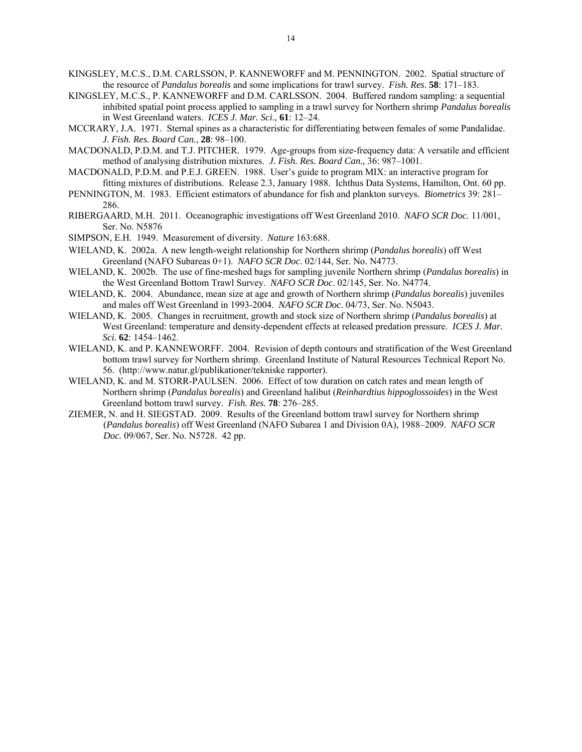- KINGSLEY, M.C.S., D.M. CARLSSON, P. KANNEWORFF and M. PENNINGTON. 2002. Spatial structure of the resource of *Pandalus borealis* and some implications for trawl survey. *Fish. Res*. **58**: 171–183.
- KINGSLEY, M.C.S., P. KANNEWORFF and D.M. CARLSSON. 2004. Buffered random sampling: a sequential inhibited spatial point process applied to sampling in a trawl survey for Northern shrimp *Pandalus borealis* in West Greenland waters. *ICES J. Mar. Sci*., **61**: 12–24.
- MCCRARY, J.A. 1971. Sternal spines as a characteristic for differentiating between females of some Pandalidae. *J. Fish. Res. Board Can.*, **28**: 98–100.
- MACDONALD, P.D.M. and T.J. PITCHER. 1979. Age-groups from size-frequency data: A versatile and efficient method of analysing distribution mixtures. *J. Fish. Res. Board Can.,* 36: 987–1001.
- MACDONALD, P.D.M. and P.E.J. GREEN. 1988. User's guide to program MIX: an interactive program for fitting mixtures of distributions. Release 2.3, January 1988. Ichthus Data Systems, Hamilton, Ont. 60 pp.
- PENNINGTON, M. 1983. Efficient estimators of abundance for fish and plankton surveys. *Biometrics* 39: 281– 286.
- RIBERGAARD, M.H. 2011. Oceanographic investigations off West Greenland 2010. *NAFO SCR Doc.* 11/001, Ser. No. N5876
- SIMPSON, E.H. 1949. Measurement of diversity. *Nature* 163:688.
- WIELAND, K. 2002a. A new length-weight relationship for Northern shrimp (*Pandalus borealis*) off West Greenland (NAFO Subareas 0+1). *NAFO SCR Doc*. 02/144, Ser. No. N4773.
- WIELAND, K. 2002b. The use of fine-meshed bags for sampling juvenile Northern shrimp (*Pandalus borealis*) in the West Greenland Bottom Trawl Survey. *NAFO SCR Doc*. 02/145, Ser. No. N4774.
- WIELAND, K. 2004. Abundance, mean size at age and growth of Northern shrimp (*Pandalus borealis*) juveniles and males off West Greenland in 1993-2004. *NAFO SCR Doc*. 04/73, Ser. No. N5043.
- WIELAND, K. 2005. Changes in recruitment, growth and stock size of Northern shrimp (*Pandalus borealis*) at West Greenland: temperature and density-dependent effects at released predation pressure. *ICES J. Mar. Sci.* **62**: 1454–1462.
- WIELAND, K. and P. KANNEWORFF. 2004. Revision of depth contours and stratification of the West Greenland bottom trawl survey for Northern shrimp. Greenland Institute of Natural Resources Technical Report No. 56. (http://www.natur.gl/publikationer/tekniske rapporter).
- WIELAND, K. and M. STORR-PAULSEN. 2006. Effect of tow duration on catch rates and mean length of Northern shrimp (*Pandalus borealis*) and Greenland halibut (*Reinhardtius hippoglossoides*) in the West Greenland bottom trawl survey. *Fish. Res.* **78**: 276–285.
- ZIEMER, N. and H. SIEGSTAD. 2009. Results of the Greenland bottom trawl survey for Northern shrimp (*Pandalus borealis*) off West Greenland (NAFO Subarea 1 and Division 0A), 1988–2009. *NAFO SCR Doc.* 09/067, Ser. No. N5728. 42 pp.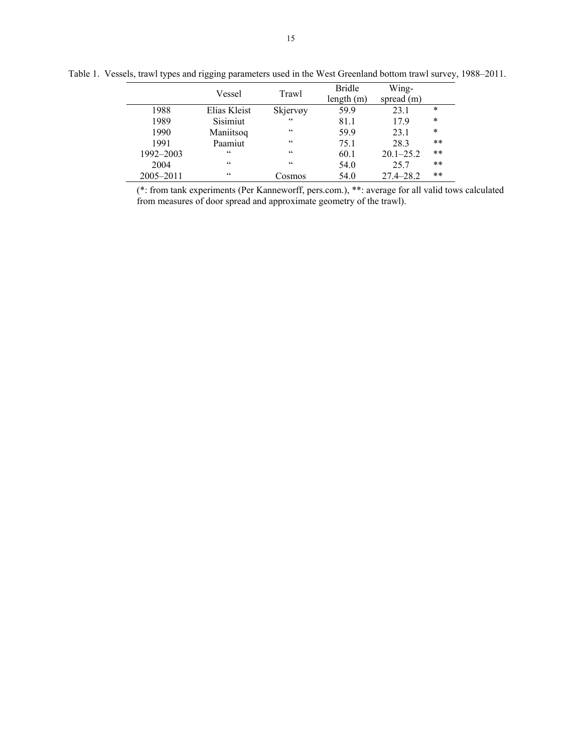|           | Vessel            | Trawl    | <b>Bridle</b> | Wing-         |        |
|-----------|-------------------|----------|---------------|---------------|--------|
|           |                   |          | length $(m)$  | spread $(m)$  |        |
| 1988      | Elias Kleist      | Skjervøy | 59.9          | 23.1          | $\ast$ |
| 1989      | Sisimiut          | cc       | 81.1          | 17.9          | $\ast$ |
| 1990      | Maniitsoq         | cc       | 59.9          | 23.1          | $\ast$ |
| 1991      | Paamiut           | cc       | 75.1          | 28.3          | **     |
| 1992-2003 | cc                | cc       | 60.1          | $20.1 - 25.2$ | $***$  |
| 2004      | cc                | cc       | 54.0          | 25.7          | **     |
| 2005-2011 | $\subset \subset$ | Cosmos   | 54.0          | $27.4 - 28.2$ | **     |

Table 1. Vessels, trawl types and rigging parameters used in the West Greenland bottom trawl survey, 1988–2011.

(\*: from tank experiments (Per Kanneworff, pers.com.), \*\*: average for all valid tows calculated from measures of door spread and approximate geometry of the trawl).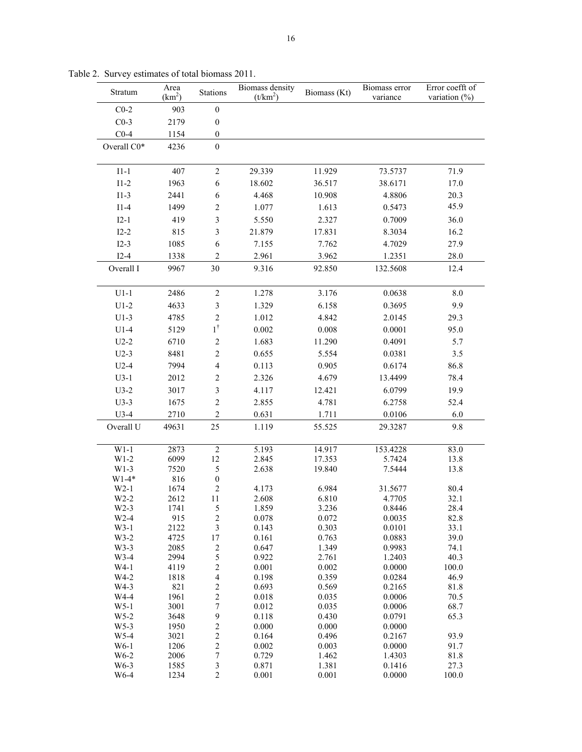| Stratum          | Area<br>(km <sup>2</sup> ) | Stations                     | Biomass density<br>(t/km <sup>2</sup> ) | Biomass (Kt)   | Biomass error<br>variance | Error coefft of<br>variation $(\%)$ |
|------------------|----------------------------|------------------------------|-----------------------------------------|----------------|---------------------------|-------------------------------------|
| $C0-2$           | 903                        | $\boldsymbol{0}$             |                                         |                |                           |                                     |
| $C0-3$           | 2179                       | $\boldsymbol{0}$             |                                         |                |                           |                                     |
| $C0-4$           | 1154                       | $\boldsymbol{0}$             |                                         |                |                           |                                     |
| Overall C0*      | 4236                       | $\overline{0}$               |                                         |                |                           |                                     |
| $I1-1$           | 407                        | $\overline{c}$               | 29.339                                  | 11.929         | 73.5737                   | 71.9                                |
| $I1-2$           | 1963                       | 6                            | 18.602                                  | 36.517         | 38.6171                   | 17.0                                |
| $I1-3$           | 2441                       | 6                            | 4.468                                   | 10.908         | 4.8806                    | 20.3                                |
| $I1-4$           | 1499                       | 2                            | 1.077                                   | 1.613          | 0.5473                    | 45.9                                |
| $I2-1$           | 419                        | 3                            | 5.550                                   | 2.327          | 0.7009                    | 36.0                                |
| $I2-2$           | 815                        |                              | 21.879                                  |                |                           | 16.2                                |
|                  |                            | 3                            |                                         | 17.831         | 8.3034                    |                                     |
| $I2-3$           | 1085                       | 6                            | 7.155                                   | 7.762          | 4.7029                    | 27.9                                |
| $I2-4$           | 1338                       | 2                            | 2.961                                   | 3.962          | 1.2351                    | 28.0                                |
| Overall I        | 9967                       | 30                           | 9.316                                   | 92.850         | 132.5608                  | 12.4                                |
| $U1-1$           | 2486                       | $\overline{c}$               | 1.278                                   | 3.176          | 0.0638                    | 8.0                                 |
| $U1-2$           | 4633                       | 3                            | 1.329                                   | 6.158          | 0.3695                    | 9.9                                 |
| $U1-3$           | 4785                       | 2                            | 1.012                                   | 4.842          | 2.0145                    | 29.3                                |
| $U1-4$           | 5129                       | $1^{\dagger}$                | 0.002                                   | 0.008          | 0.0001                    | 95.0                                |
| $U2-2$           | 6710                       | $\boldsymbol{2}$             | 1.683                                   | 11.290         | 0.4091                    | 5.7                                 |
| $U2-3$           | 8481                       | 2                            | 0.655                                   | 5.554          | 0.0381                    | 3.5                                 |
| $U$ 2-4          | 7994                       | 4                            | 0.113                                   | 0.905          | 0.6174                    | 86.8                                |
| $U3-1$           | 2012                       | $\overline{c}$               | 2.326                                   | 4.679          | 13.4499                   | 78.4                                |
|                  |                            |                              |                                         |                |                           |                                     |
| $U3-2$           | 3017                       | 3                            | 4.117                                   | 12.421         | 6.0799                    | 19.9                                |
| $U3-3$           | 1675                       | $\overline{c}$               | 2.855                                   | 4.781          | 6.2758                    | 52.4                                |
| $U3-4$           | 2710                       | 2                            | 0.631                                   | 1.711          | 0.0106                    | 6.0                                 |
| Overall U        | 49631                      | 25                           | 1.119                                   | 55.525         | 29.3287                   | 9.8                                 |
| $W1-1$           | 2873                       | $\overline{c}$               | 5.193                                   | 14.917         | 153.4228                  | 83.0                                |
| $W1-2$           | 6099                       | 12                           | 2.845                                   | 17.353         | 5.7424                    | 13.8                                |
| $W1-3$           | 7520                       | 5                            | 2.638                                   | 19.840         | 7.5444                    | 13.8                                |
| $W1 - 4*$        | 816                        | $\boldsymbol{0}$             |                                         |                |                           |                                     |
| $W2-1$           | 1674                       | $\overline{\mathbf{c}}$      | 4.173                                   | 6.984          | 31.5677                   | 80.4                                |
| $W2-2$<br>$W2-3$ | 2612<br>1741               | 11<br>5                      | 2.608<br>1.859                          | 6.810<br>3.236 | 4.7705<br>0.8446          | 32.1<br>28.4                        |
| $W2-4$           | 915                        | $\overline{c}$               | 0.078                                   | 0.072          | 0.0035                    | 82.8                                |
| $W3-1$           | 2122                       | 3                            | 0.143                                   | 0.303          | 0.0101                    | 33.1                                |
| $W3-2$           | 4725                       | $17\,$                       | 0.161                                   | 0.763          | 0.0883                    | 39.0                                |
| $W3-3$           | 2085                       | $\overline{\mathbf{c}}$      | 0.647                                   | 1.349          | 0.9983                    | 74.1                                |
| $W3-4$           | 2994                       | 5                            | 0.922                                   | 2.761          | 1.2403                    | 40.3                                |
| $W4-1$           | 4119                       | $\overline{\mathbf{c}}$      | 0.001                                   | 0.002          | 0.0000                    | 100.0                               |
| $W4-2$<br>W4-3   | 1818<br>821                | 4<br>$\overline{\mathbf{c}}$ | 0.198<br>0.693                          | 0.359<br>0.569 | 0.0284<br>0.2165          | 46.9<br>81.8                        |
| W4-4             | 1961                       | $\overline{\mathbf{c}}$      | 0.018                                   | 0.035          | 0.0006                    | 70.5                                |
| $W5-1$           | 3001                       | $\overline{7}$               | 0.012                                   | 0.035          | 0.0006                    | 68.7                                |
| $W5-2$           | 3648                       | 9                            | 0.118                                   | 0.430          | 0.0791                    | 65.3                                |
| $W5-3$           | 1950                       | $\overline{\mathbf{c}}$      | 0.000                                   | 0.000          | 0.0000                    |                                     |
| $W5-4$           | 3021                       | $\overline{\mathbf{c}}$      | 0.164                                   | 0.496          | 0.2167                    | 93.9                                |
| $W6-1$           | 1206                       | $\overline{c}$               | 0.002                                   | 0.003          | 0.0000                    | 91.7                                |
| $W6-2$<br>$W6-3$ | 2006<br>1585               | 7<br>3                       | 0.729<br>0.871                          | 1.462<br>1.381 | 1.4303<br>0.1416          | 81.8<br>27.3                        |
| W6-4             | 1234                       | 2                            | 0.001                                   | 0.001          | 0.0000                    | 100.0                               |

Table 2. Survey estimates of total biomass 2011.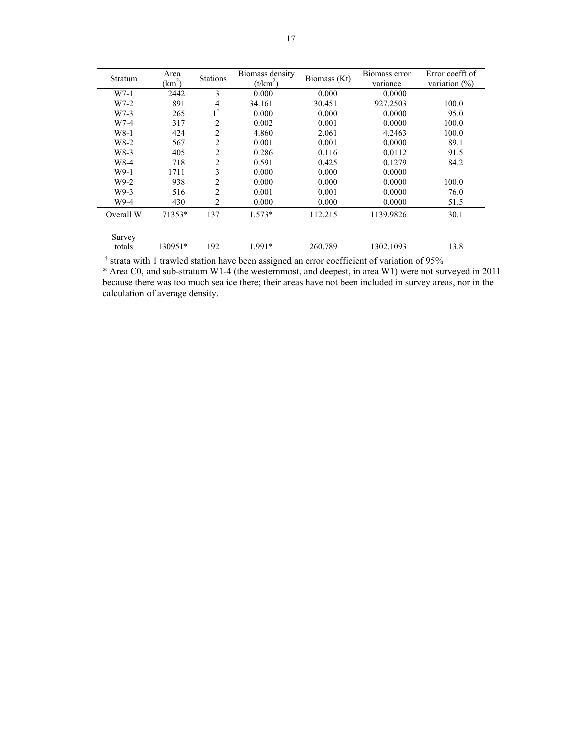| Stratum   | Area<br>(km <sup>2</sup> ) | <b>Stations</b> | Biomass density<br>$(t/km^2)$ | Biomass (Kt) | Biomass error<br>variance | Error coefft of<br>variation $(\% )$ |
|-----------|----------------------------|-----------------|-------------------------------|--------------|---------------------------|--------------------------------------|
| W7-1      | 2442                       | 3               | 0.000                         | 0.000        | 0.0000                    |                                      |
| W7-2      | 891                        | 4               | 34.161                        | 30.451       | 927.2503                  | 100.0                                |
| $W7-3$    | 265                        | $1^{\dagger}$   | 0.000                         | 0.000        | 0.0000                    | 95.0                                 |
| W7-4      | 317                        | 2               | 0.002                         | 0.001        | 0.0000                    | 100.0                                |
| $W8-1$    | 424                        | 2               | 4.860                         | 2.061        | 4.2463                    | 100.0                                |
| W8-2      | 567                        | 2               | 0.001                         | 0.001        | 0.0000                    | 89.1                                 |
| $W8-3$    | 405                        | 2               | 0.286                         | 0.116        | 0.0112                    | 91.5                                 |
| W8-4      | 718                        | $\overline{c}$  | 0.591                         | 0.425        | 0.1279                    | 84.2                                 |
| $W9-1$    | 1711                       | 3               | 0.000                         | 0.000        | 0.0000                    |                                      |
| $W9-2$    | 938                        | 2               | 0.000                         | 0.000        | 0.0000                    | 100.0                                |
| $W9-3$    | 516                        | $\overline{c}$  | 0.001                         | 0.001        | 0.0000                    | 76.0                                 |
| W9-4      | 430                        | 2               | 0.000                         | 0.000        | 0.0000                    | 51.5                                 |
| Overall W | 71353*                     | 137             | $1.573*$                      | 112.215      | 1139.9826                 | 30.1                                 |
| Survey    |                            |                 |                               |              |                           |                                      |
| totals    | 130951*                    | 192             | 1.991*                        | 260.789      | 1302.1093                 | 13.8                                 |

<sup>†</sup> strata with 1 trawled station have been assigned an error coefficient of variation of 95%

\* Area C0, and sub-stratum W1-4 (the westernmost, and deepest, in area W1) were not surveyed in 2011 because there was too much sea ice there; their areas have not been included in survey areas, nor in the calculation of average density.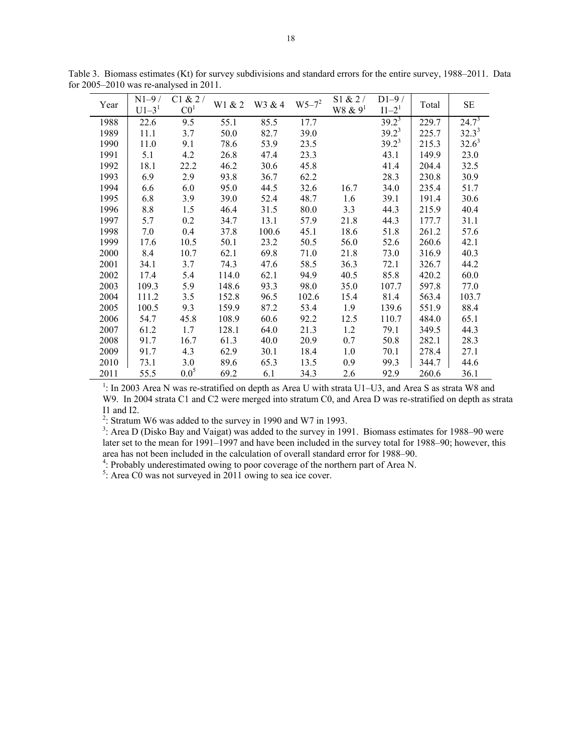| Year | $N1-9/$   | $C1 & 2$ /      | W1 & 2 | W3 & 4 | $W5 - 7^2$ | S1 & 2              | $D1-9/$    | Total | <b>SE</b>  |
|------|-----------|-----------------|--------|--------|------------|---------------------|------------|-------|------------|
|      | $U1 - 31$ | CO <sup>1</sup> |        |        |            | W8 & 9 <sup>1</sup> | $I1 - 21$  |       |            |
| 1988 | 22.6      | 9.5             | 55.1   | 85.5   | 17.7       |                     | $39.2^{3}$ | 229.7 | $24.7^{3}$ |
| 1989 | 11.1      | 3.7             | 50.0   | 82.7   | 39.0       |                     | $39.2^3$   | 225.7 | $32.3^3$   |
| 1990 | 11.0      | 9.1             | 78.6   | 53.9   | 23.5       |                     | $39.2^3$   | 215.3 | $32.6^3$   |
| 1991 | 5.1       | 4.2             | 26.8   | 47.4   | 23.3       |                     | 43.1       | 149.9 | 23.0       |
| 1992 | 18.1      | 22.2            | 46.2   | 30.6   | 45.8       |                     | 41.4       | 204.4 | 32.5       |
| 1993 | 6.9       | 2.9             | 93.8   | 36.7   | 62.2       |                     | 28.3       | 230.8 | 30.9       |
| 1994 | 6.6       | 6.0             | 95.0   | 44.5   | 32.6       | 16.7                | 34.0       | 235.4 | 51.7       |
| 1995 | 6.8       | 3.9             | 39.0   | 52.4   | 48.7       | 1.6                 | 39.1       | 191.4 | 30.6       |
| 1996 | 8.8       | 1.5             | 46.4   | 31.5   | 80.0       | 3.3                 | 44.3       | 215.9 | 40.4       |
| 1997 | 5.7       | 0.2             | 34.7   | 13.1   | 57.9       | 21.8                | 44.3       | 177.7 | 31.1       |
| 1998 | 7.0       | 0.4             | 37.8   | 100.6  | 45.1       | 18.6                | 51.8       | 261.2 | 57.6       |
| 1999 | 17.6      | 10.5            | 50.1   | 23.2   | 50.5       | 56.0                | 52.6       | 260.6 | 42.1       |
| 2000 | 8.4       | 10.7            | 62.1   | 69.8   | 71.0       | 21.8                | 73.0       | 316.9 | 40.3       |
| 2001 | 34.1      | 3.7             | 74.3   | 47.6   | 58.5       | 36.3                | 72.1       | 326.7 | 44.2       |
| 2002 | 17.4      | 5.4             | 114.0  | 62.1   | 94.9       | 40.5                | 85.8       | 420.2 | 60.0       |
| 2003 | 109.3     | 5.9             | 148.6  | 93.3   | 98.0       | 35.0                | 107.7      | 597.8 | 77.0       |
| 2004 | 111.2     | 3.5             | 152.8  | 96.5   | 102.6      | 15.4                | 81.4       | 563.4 | 103.7      |
| 2005 | 100.5     | 9.3             | 159.9  | 87.2   | 53.4       | 1.9                 | 139.6      | 551.9 | 88.4       |
| 2006 | 54.7      | 45.8            | 108.9  | 60.6   | 92.2       | 12.5                | 110.7      | 484.0 | 65.1       |
| 2007 | 61.2      | 1.7             | 128.1  | 64.0   | 21.3       | 1.2                 | 79.1       | 349.5 | 44.3       |
| 2008 | 91.7      | 16.7            | 61.3   | 40.0   | 20.9       | 0.7                 | 50.8       | 282.1 | 28.3       |
| 2009 | 91.7      | 4.3             | 62.9   | 30.1   | 18.4       | 1.0                 | 70.1       | 278.4 | 27.1       |
| 2010 | 73.1      | 3.0             | 89.6   | 65.3   | 13.5       | 0.9                 | 99.3       | 344.7 | 44.6       |
| 2011 | 55.5      | $0.0^{5}$       | 69.2   | 6.1    | 34.3       | 2.6                 | 92.9       | 260.6 | 36.1       |

Table 3. Biomass estimates (Kt) for survey subdivisions and standard errors for the entire survey, 1988–2011. Data for 2005–2010 was re-analysed in 2011.

<sup>1</sup>: In 2003 Area N was re-stratified on depth as Area U with strata U1–U3, and Area S as strata W8 and W9. In 2004 strata C1 and C2 were merged into stratum C0, and Area D was re-stratified on depth as strata I1 and I2.

<sup>2</sup>: Stratum W6 was added to the survey in 1990 and W7 in 1993.<br><sup>3</sup>: Area D (Disko Bay and Vaigat) was added to the survey in 1991. Biomass estimates for 1988–90 were later set to the mean for 1991–1997 and have been included in the survey total for 1988–90; however, this area has not been included in the calculation of overall standard error for 1988–90. 4

<sup>4</sup>: Probably underestimated owing to poor coverage of the northern part of Area N.  $^{5}$ : Area C0 was not surveyed in 2011 owing to sea ice cover.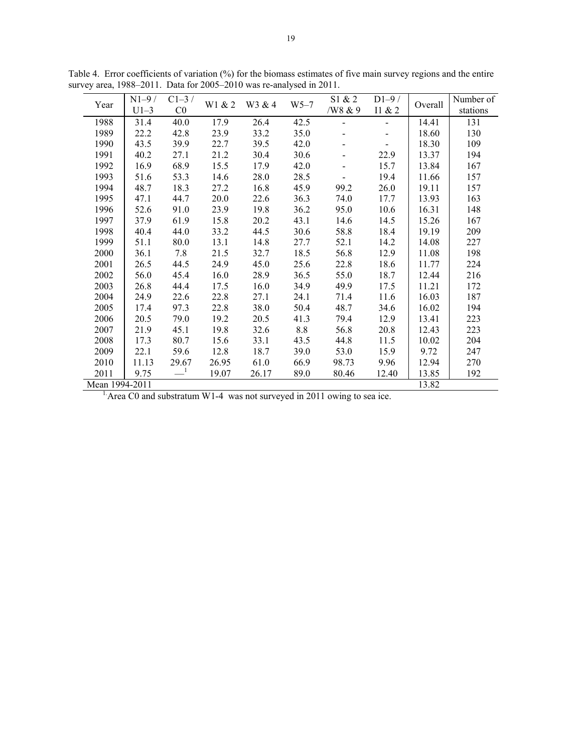|                | $N1-9/$ | $C1-3/$        |        |        |        | S1 & 2  | $D1-9/$        |         | Number of |
|----------------|---------|----------------|--------|--------|--------|---------|----------------|---------|-----------|
| Year           | $U1-3$  | C <sub>0</sub> | W1 & 2 | W3 & 4 | $W5-7$ | /W8 & 9 | Il $& 2$       | Overall | stations  |
| 1988           | 31.4    | 40.0           | 17.9   | 26.4   | 42.5   |         | $\sim$         | 14.41   | 131       |
| 1989           | 22.2    | 42.8           | 23.9   | 33.2   | 35.0   |         |                | 18.60   | 130       |
| 1990           | 43.5    | 39.9           | 22.7   | 39.5   | 42.0   |         | $\blacksquare$ | 18.30   | 109       |
| 1991           | 40.2    | 27.1           | 21.2   | 30.4   | 30.6   |         | 22.9           | 13.37   | 194       |
| 1992           | 16.9    | 68.9           | 15.5   | 17.9   | 42.0   |         | 15.7           | 13.84   | 167       |
| 1993           | 51.6    | 53.3           | 14.6   | 28.0   | 28.5   |         | 19.4           | 11.66   | 157       |
| 1994           | 48.7    | 18.3           | 27.2   | 16.8   | 45.9   | 99.2    | 26.0           | 19.11   | 157       |
| 1995           | 47.1    | 44.7           | 20.0   | 22.6   | 36.3   | 74.0    | 17.7           | 13.93   | 163       |
| 1996           | 52.6    | 91.0           | 23.9   | 19.8   | 36.2   | 95.0    | 10.6           | 16.31   | 148       |
| 1997           | 37.9    | 61.9           | 15.8   | 20.2   | 43.1   | 14.6    | 14.5           | 15.26   | 167       |
| 1998           | 40.4    | 44.0           | 33.2   | 44.5   | 30.6   | 58.8    | 18.4           | 19.19   | 209       |
| 1999           | 51.1    | 80.0           | 13.1   | 14.8   | 27.7   | 52.1    | 14.2           | 14.08   | 227       |
| 2000           | 36.1    | 7.8            | 21.5   | 32.7   | 18.5   | 56.8    | 12.9           | 11.08   | 198       |
| 2001           | 26.5    | 44.5           | 24.9   | 45.0   | 25.6   | 22.8    | 18.6           | 11.77   | 224       |
| 2002           | 56.0    | 45.4           | 16.0   | 28.9   | 36.5   | 55.0    | 18.7           | 12.44   | 216       |
| 2003           | 26.8    | 44.4           | 17.5   | 16.0   | 34.9   | 49.9    | 17.5           | 11.21   | 172       |
| 2004           | 24.9    | 22.6           | 22.8   | 27.1   | 24.1   | 71.4    | 11.6           | 16.03   | 187       |
| 2005           | 17.4    | 97.3           | 22.8   | 38.0   | 50.4   | 48.7    | 34.6           | 16.02   | 194       |
| 2006           | 20.5    | 79.0           | 19.2   | 20.5   | 41.3   | 79.4    | 12.9           | 13.41   | 223       |
| 2007           | 21.9    | 45.1           | 19.8   | 32.6   | 8.8    | 56.8    | 20.8           | 12.43   | 223       |
| 2008           | 17.3    | 80.7           | 15.6   | 33.1   | 43.5   | 44.8    | 11.5           | 10.02   | 204       |
| 2009           | 22.1    | 59.6           | 12.8   | 18.7   | 39.0   | 53.0    | 15.9           | 9.72    | 247       |
| 2010           | 11.13   | 29.67          | 26.95  | 61.0   | 66.9   | 98.73   | 9.96           | 12.94   | 270       |
| 2011           | 9.75    | $\frac{1}{2}$  | 19.07  | 26.17  | 89.0   | 80.46   | 12.40          | 13.85   | 192       |
| Mean 1994-2011 |         |                |        |        |        |         |                | 13.82   |           |

Table 4. Error coefficients of variation (%) for the biomass estimates of five main survey regions and the entire survey area, 1988–2011. Data for 2005–2010 was re-analysed in 2011.

 $1$ <sup>1</sup> Area C0 and substratum W1-4 was not surveyed in 2011 owing to sea ice.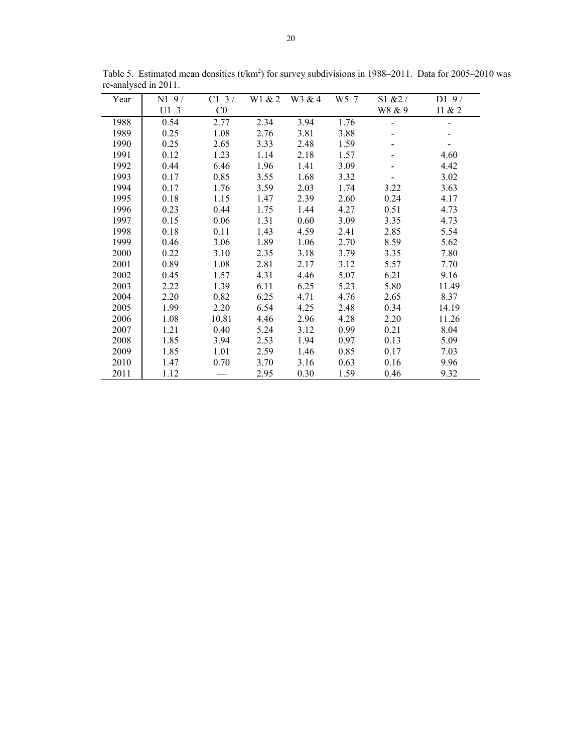| Year | $N1-9/$ | $C1-3/$ | W1 & 2 | W3 & 4 | $W5-7$ | S1 & 2 | $D1-9/$  |
|------|---------|---------|--------|--------|--------|--------|----------|
|      | $U1-3$  | CO      |        |        |        | W8 & 9 | Il $& 2$ |
| 1988 | 0.54    | 2.77    | 2.34   | 3.94   | 1.76   |        |          |
| 1989 | 0.25    | 1.08    | 2.76   | 3.81   | 3.88   |        |          |
| 1990 | 0.25    | 2.65    | 3.33   | 2.48   | 1.59   |        |          |
| 1991 | 0.12    | 1.23    | 1.14   | 2.18   | 1.57   |        | 4.60     |
| 1992 | 0.44    | 6.46    | 1.96   | 1.41   | 3.09   |        | 4.42     |
| 1993 | 0.17    | 0.85    | 3.55   | 1.68   | 3.32   |        | 3.02     |
| 1994 | 0.17    | 1.76    | 3.59   | 2.03   | 1.74   | 3.22   | 3.63     |
| 1995 | 0.18    | 1.15    | 1.47   | 2.39   | 2.60   | 0.24   | 4.17     |
| 1996 | 0.23    | 0.44    | 1.75   | 1.44   | 4.27   | 0.51   | 4.73     |
| 1997 | 0.15    | 0.06    | 1.31   | 0.60   | 3.09   | 3.35   | 4.73     |
| 1998 | 0.18    | 0.11    | 1.43   | 4.59   | 2.41   | 2.85   | 5.54     |
| 1999 | 0.46    | 3.06    | 1.89   | 1.06   | 2.70   | 8.59   | 5.62     |
| 2000 | 0.22    | 3.10    | 2.35   | 3.18   | 3.79   | 3.35   | 7.80     |
| 2001 | 0.89    | 1.08    | 2.81   | 2.17   | 3.12   | 5.57   | 7.70     |
| 2002 | 0.45    | 1.57    | 4.31   | 4.46   | 5.07   | 6.21   | 9.16     |
| 2003 | 2.22    | 1.39    | 6.11   | 6.25   | 5.23   | 5.80   | 11.49    |
| 2004 | 2.20    | 0.82    | 6.25   | 4.71   | 4.76   | 2.65   | 8.37     |
| 2005 | 1.99    | 2.20    | 6.54   | 4.25   | 2.48   | 0.34   | 14.19    |
| 2006 | 1.08    | 10.81   | 4.46   | 2.96   | 4.28   | 2.20   | 11.26    |
| 2007 | 1.21    | 0.40    | 5.24   | 3.12   | 0.99   | 0.21   | 8.04     |
| 2008 | 1.85    | 3.94    | 2.53   | 1.94   | 0.97   | 0.13   | 5.09     |
| 2009 | 1.85    | 1.01    | 2.59   | 1.46   | 0.85   | 0.17   | 7.03     |
| 2010 | 1.47    | 0.70    | 3.70   | 3.16   | 0.63   | 0.16   | 9.96     |
| 2011 | 1.12    |         | 2.95   | 0.30   | 1.59   | 0.46   | 9.32     |

Table 5. Estimated mean densities  $(t/km^2)$  for survey subdivisions in 1988–2011. Data for 2005–2010 was re-analysed in 2011.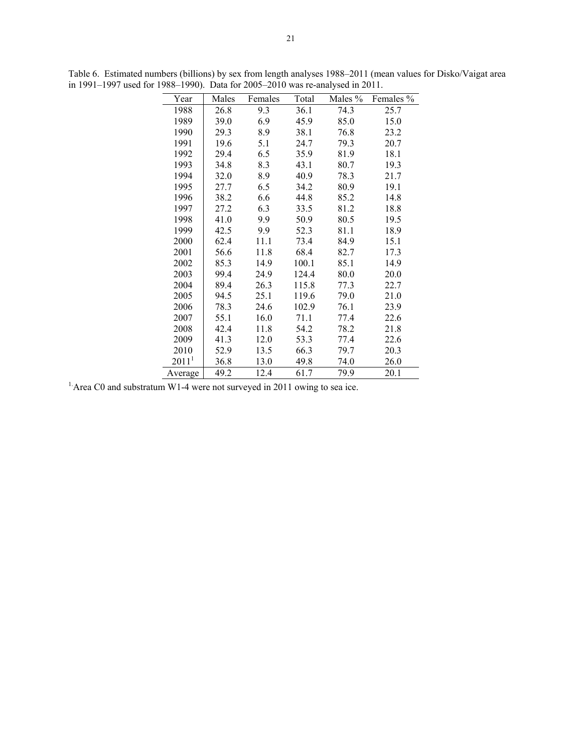| Year              | Males | Females | Total | Males % | Females % |
|-------------------|-------|---------|-------|---------|-----------|
| 1988              | 26.8  | 9.3     | 36.1  | 74.3    | 25.7      |
| 1989              | 39.0  | 6.9     | 45.9  | 85.0    | 15.0      |
| 1990              | 29.3  | 8.9     | 38.1  | 76.8    | 23.2      |
| 1991              | 19.6  | 5.1     | 24.7  | 79.3    | 20.7      |
| 1992              | 29.4  | 6.5     | 35.9  | 81.9    | 18.1      |
| 1993              | 34.8  | 8.3     | 43.1  | 80.7    | 19.3      |
| 1994              | 32.0  | 8.9     | 40.9  | 78.3    | 21.7      |
| 1995              | 27.7  | 6.5     | 34.2  | 80.9    | 19.1      |
| 1996              | 38.2  | 6.6     | 44.8  | 85.2    | 14.8      |
| 1997              | 27.2  | 6.3     | 33.5  | 81.2    | 18.8      |
| 1998              | 41.0  | 9.9     | 50.9  | 80.5    | 19.5      |
| 1999              | 42.5  | 9.9     | 52.3  | 81.1    | 18.9      |
| 2000              | 62.4  | 11.1    | 73.4  | 84.9    | 15.1      |
| 2001              | 56.6  | 11.8    | 68.4  | 82.7    | 17.3      |
| 2002              | 85.3  | 14.9    | 100.1 | 85.1    | 14.9      |
| 2003              | 99.4  | 24.9    | 124.4 | 80.0    | 20.0      |
| 2004              | 89.4  | 26.3    | 115.8 | 77.3    | 22.7      |
| 2005              | 94.5  | 25.1    | 119.6 | 79.0    | 21.0      |
| 2006              | 78.3  | 24.6    | 102.9 | 76.1    | 23.9      |
| 2007              | 55.1  | 16.0    | 71.1  | 77.4    | 22.6      |
| 2008              | 42.4  | 11.8    | 54.2  | 78.2    | 21.8      |
| 2009              | 41.3  | 12.0    | 53.3  | 77.4    | 22.6      |
| 2010              | 52.9  | 13.5    | 66.3  | 79.7    | 20.3      |
| 2011 <sup>1</sup> | 36.8  | 13.0    | 49.8  | 74.0    | 26.0      |
| Average           | 49.2  | 12.4    | 61.7  | 79.9    | 20.1      |

Table 6. Estimated numbers (billions) by sex from length analyses 1988–2011 (mean values for Disko/Vaigat area in 1991–1997 used for 1988–1990). Data for 2005–2010 was re-analysed in 2011.

<sup>1</sup> Area C0 and substratum W1-4 were not surveyed in 2011 owing to sea ice.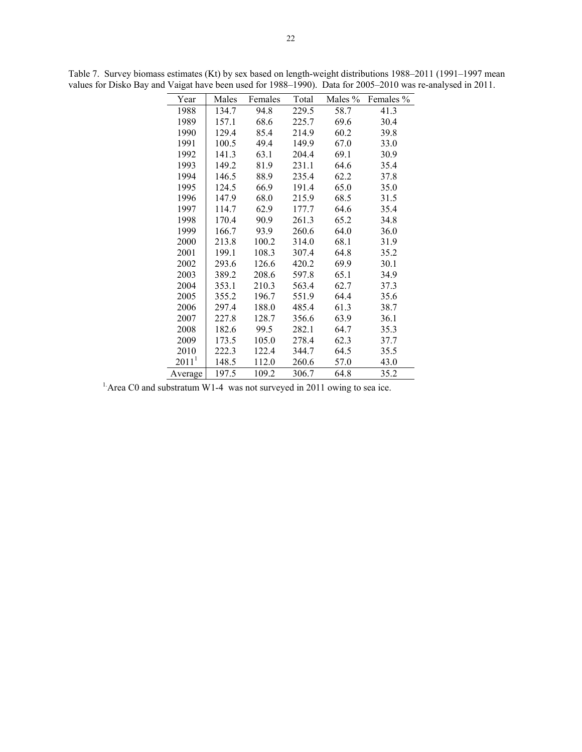| --- 0             |       |         | $\sim$ $\prime$ |         |           |
|-------------------|-------|---------|-----------------|---------|-----------|
| Year              | Males | Females | Total           | Males % | Females % |
| 1988              | 134.7 | 94.8    | 229.5           | 58.7    | 41.3      |
| 1989              | 157.1 | 68.6    | 225.7           | 69.6    | 30.4      |
| 1990              | 129.4 | 85.4    | 214.9           | 60.2    | 39.8      |
| 1991              | 100.5 | 49.4    | 149.9           | 67.0    | 33.0      |
| 1992              | 141.3 | 63.1    | 204.4           | 69.1    | 30.9      |
| 1993              | 149.2 | 81.9    | 231.1           | 64.6    | 35.4      |
| 1994              | 146.5 | 88.9    | 235.4           | 62.2    | 37.8      |
| 1995              | 124.5 | 66.9    | 191.4           | 65.0    | 35.0      |
| 1996              | 147.9 | 68.0    | 215.9           | 68.5    | 31.5      |
| 1997              | 114.7 | 62.9    | 177.7           | 64.6    | 35.4      |
| 1998              | 170.4 | 90.9    | 261.3           | 65.2    | 34.8      |
| 1999              | 166.7 | 93.9    | 260.6           | 64.0    | 36.0      |
| 2000              | 213.8 | 100.2   | 314.0           | 68.1    | 31.9      |
| 2001              | 199.1 | 108.3   | 307.4           | 64.8    | 35.2      |
| 2002              | 293.6 | 126.6   | 420.2           | 69.9    | 30.1      |
| 2003              | 389.2 | 208.6   | 597.8           | 65.1    | 34.9      |
| 2004              | 353.1 | 210.3   | 563.4           | 62.7    | 37.3      |
| 2005              | 355.2 | 196.7   | 551.9           | 64.4    | 35.6      |
| 2006              | 297.4 | 188.0   | 485.4           | 61.3    | 38.7      |
| 2007              | 227.8 | 128.7   | 356.6           | 63.9    | 36.1      |
| 2008              | 182.6 | 99.5    | 282.1           | 64.7    | 35.3      |
| 2009              | 173.5 | 105.0   | 278.4           | 62.3    | 37.7      |
| 2010              | 222.3 | 122.4   | 344.7           | 64.5    | 35.5      |
| 2011 <sup>1</sup> | 148.5 | 112.0   | 260.6           | 57.0    | 43.0      |
| Average           | 197.5 | 109.2   | 306.7           | 64.8    | 35.2      |

Table 7. Survey biomass estimates (Kt) by sex based on length-weight distributions 1988–2011 (1991–1997 mean values for Disko Bay and Vaigat have been used for 1988–1990). Data for 2005–2010 was re-analysed in 2011.

<sup>1</sup> Area C0 and substratum W1-4 was not surveyed in 2011 owing to sea ice.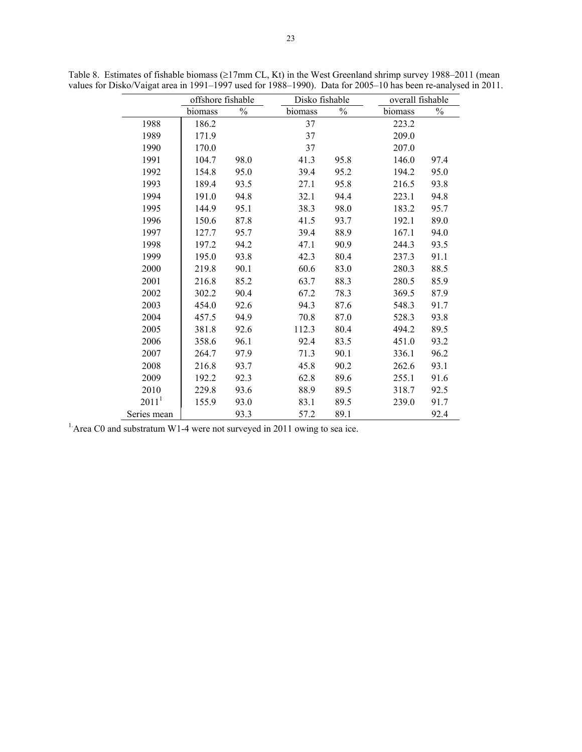|                   | offshore fishable |      |         | Disko fishable |         | overall fishable |  |
|-------------------|-------------------|------|---------|----------------|---------|------------------|--|
|                   | biomass           | $\%$ | biomass | $\frac{0}{0}$  | biomass | $\frac{0}{0}$    |  |
| 1988              | 186.2             |      | 37      |                | 223.2   |                  |  |
| 1989              | 171.9             |      | 37      |                | 209.0   |                  |  |
| 1990              | 170.0             |      | 37      |                | 207.0   |                  |  |
| 1991              | 104.7             | 98.0 | 41.3    | 95.8           | 146.0   | 97.4             |  |
| 1992              | 154.8             | 95.0 | 39.4    | 95.2           | 194.2   | 95.0             |  |
| 1993              | 189.4             | 93.5 | 27.1    | 95.8           | 216.5   | 93.8             |  |
| 1994              | 191.0             | 94.8 | 32.1    | 94.4           | 223.1   | 94.8             |  |
| 1995              | 144.9             | 95.1 | 38.3    | 98.0           | 183.2   | 95.7             |  |
| 1996              | 150.6             | 87.8 | 41.5    | 93.7           | 192.1   | 89.0             |  |
| 1997              | 127.7             | 95.7 | 39.4    | 88.9           | 167.1   | 94.0             |  |
| 1998              | 197.2             | 94.2 | 47.1    | 90.9           | 244.3   | 93.5             |  |
| 1999              | 195.0             | 93.8 | 42.3    | 80.4           | 237.3   | 91.1             |  |
| 2000              | 219.8             | 90.1 | 60.6    | 83.0           | 280.3   | 88.5             |  |
| 2001              | 216.8             | 85.2 | 63.7    | 88.3           | 280.5   | 85.9             |  |
| 2002              | 302.2             | 90.4 | 67.2    | 78.3           | 369.5   | 87.9             |  |
| 2003              | 454.0             | 92.6 | 94.3    | 87.6           | 548.3   | 91.7             |  |
| 2004              | 457.5             | 94.9 | 70.8    | 87.0           | 528.3   | 93.8             |  |
| 2005              | 381.8             | 92.6 | 112.3   | 80.4           | 494.2   | 89.5             |  |
| 2006              | 358.6             | 96.1 | 92.4    | 83.5           | 451.0   | 93.2             |  |
| 2007              | 264.7             | 97.9 | 71.3    | 90.1           | 336.1   | 96.2             |  |
| 2008              | 216.8             | 93.7 | 45.8    | 90.2           | 262.6   | 93.1             |  |
| 2009              | 192.2             | 92.3 | 62.8    | 89.6           | 255.1   | 91.6             |  |
| 2010              | 229.8             | 93.6 | 88.9    | 89.5           | 318.7   | 92.5             |  |
| 2011 <sup>1</sup> | 155.9             | 93.0 | 83.1    | 89.5           | 239.0   | 91.7             |  |
| Series mean       |                   | 93.3 | 57.2    | 89.1           |         | 92.4             |  |

Table 8. Estimates of fishable biomass (≥17mm CL, Kt) in the West Greenland shrimp survey 1988–2011 (mean values for Disko/Vaigat area in 1991–1997 used for 1988–1990). Data for 2005–10 has been re-analysed in 2011.

<sup>1</sup> Area C0 and substratum W1-4 were not surveyed in 2011 owing to sea ice.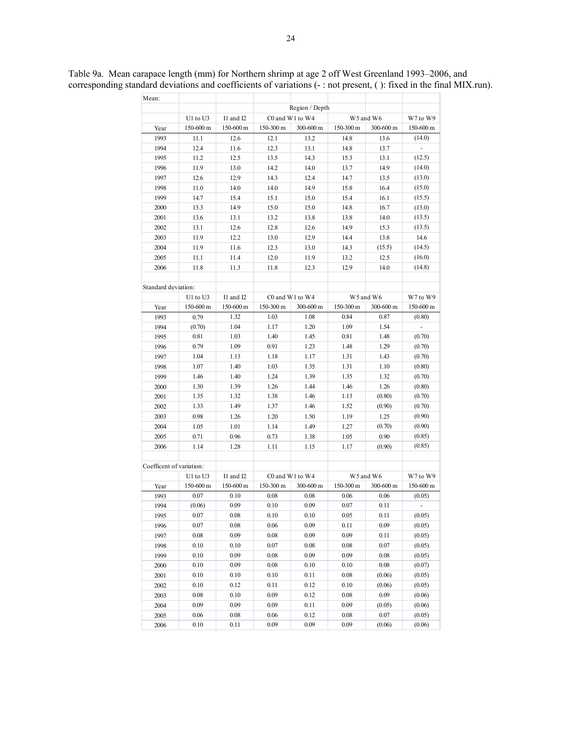| Mean:               |                          |           |                 |                 |           |           |                |
|---------------------|--------------------------|-----------|-----------------|-----------------|-----------|-----------|----------------|
|                     |                          |           |                 | Region / Depth  |           |           |                |
|                     | U1 to U3                 | I1 and I2 | C0 and W1 to W4 |                 | W5 and W6 |           | W7 to W9       |
| Year                | 150-600 m                | 150-600 m | 150-300 m       | 300-600 m       | 150-300 m | 300-600 m | 150-600 m      |
| 1993                | 11.1                     | 12.6      | 12.1            | 13.2            | 14.8      | 13.6      | (14.0)         |
| 1994                | 12.4                     | 11.6      | 12.3            | 13.1            | 14.8      | 13.7      | $\overline{a}$ |
| 1995                | 11.2                     | 12.5      | 13.5            | 14.3            | 15.3      | 13.1      | (12.5)         |
| 1996                | 11.9                     | 13.0      | 14.2            | 14.0            | 13.7      | 14.9      | (14.0)         |
| 1997                | 12.6                     | 12.9      | 14.3            | 12.4            | 14.7      | 13.5      | (13.0)         |
| 1998                | 11.0                     | 14.0      | 14.0            | 14.9            | 15.8      | 16.4      | (15.0)         |
| 1999                | 14.7                     | 15.4      | 15.1            | 15.0            | 15.4      | 16.1      | (15.5)         |
| 2000                | 13.3                     | 14.9      | 15.0            | 15.0            | 14.8      | 16.7      | (13.0)         |
| 2001                | 13.6                     | 13.1      | 13.2            | 13.8            | 13.8      | 14.0      | (13.5)         |
| 2002                | 13.1                     | 12.6      | 12.8            | 12.6            | 14.9      | 15.3      | (13.5)         |
|                     |                          |           |                 |                 |           |           |                |
| 2003                | 11.9                     | 12.2      | 13.0            | 12.9            | 14.4      | 13.8      | 14.6           |
| 2004                | 11.9                     | 11.6      | 12.3            | 13.0            | 14.3      | (15.5)    | (14.5)         |
| 2005                | 11.1                     | 11.4      | 12.0            | 11.9            | 13.2      | 12.5      | (16.0)         |
| 2006                | 11.8                     | 11.3      | 11.8            | 12.3            | 12.9      | 14.0      | (14.8)         |
| Standard deviation: |                          |           |                 |                 |           |           |                |
|                     | U1 to U3                 | I1 and I2 |                 | C0 and W1 to W4 |           | W5 and W6 | W7 to W9       |
| Year                | 150-600 m                | 150-600 m | 150-300 m       | 300-600 m       | 150-300 m | 300-600 m | 150-600 m      |
| 1993                | 0.79                     | 1.32      | 1.03            | 1.08            | 0.84      | 0.87      | (0.80)         |
| 1994                | (0.70)                   | 1.04      | 1.17            | 1.20            | 1.09      | 1.54      | ä,             |
| 1995                | 0.81                     | 1.03      | 1.40            | 1.45            | 0.81      | 1.48      | (0.70)         |
| 1996                | 0.79                     | 1.09      | 0.91            | 1.23            | 1.48      | 1.29      | (0.70)         |
| 1997                | 1.04                     | 1.13      | 1.18            | 1.17            | 1.31      | 1.43      | (0.70)         |
| 1998                | 1.07                     | 1.40      | 1.03            | 1.35            | 1.31      | 1.10      | (0.80)         |
| 1999                | 1.46                     | 1.40      | 1.24            | 1.39            | 1.35      | 1.32      | (0.70)         |
|                     | 1.30                     | 1.39      | 1.26            | 1.44            | 1.46      | 1.26      | (0.80)         |
| 2000                |                          |           |                 | 1.46            |           |           |                |
| 2001                | 1.35                     | 1.32      | 1.38            |                 | 1.13      | (0.80)    | (0.70)         |
| 2002                | 1.33                     | 1.49      | 1.37            | 1.46            | 1.52      | (0.90)    | (0.70)         |
| 2003                | 0.98                     | 1.26      | 1.20            | 1.50            | 1.19      | 1.25      | (0.90)         |
| 2004                | 1.05                     | 1.01      | 1.14            | 1.49            | 1.27      | (0.70)    | (0.90)         |
| 2005                | 0.71                     | 0.96      | 0.73            | 1.38            | 1.05      | 0.90      | (0.85)         |
| 2006                | 1.14                     | 1.28      | 1.11            | 1.15            | 1.17      | (0.90)    | (0.85)         |
|                     | Coefficent of variation: |           |                 |                 |           |           |                |
|                     | U1 to U3                 | I1 and I2 |                 | C0 and W1 to W4 |           | W5 and W6 | W7 to W9       |
| Year                | 150-600 m                | 150-600 m | 150-300 m       | 300-600 m       | 150-300 m | 300-600 m | 150-600 m      |
| 1993                | 0.07                     | 0.10      | 0.08            | 0.08            | 0.06      | 0.06      | (0.05)         |
| 1994                | (0.06)                   | 0.09      | 0.10            | 0.09            | 0.07      | 0.11      |                |
| 1995                | 0.07                     | 0.08      | 0.10            | 0.10            | 0.05      | 0.11      | (0.05)         |
| 1996                | 0.07                     | 0.08      | 0.06            | 0.09            | 0.11      | 0.09      | (0.05)         |
| 1997                | 0.08                     | 0.09      | 0.08            | 0.09            | 0.09      | 0.11      | (0.05)         |
| 1998                | 0.10                     | 0.10      | 0.07            | 0.08            | 0.08      | 0.07      | (0.05)         |
| 1999                | 0.10                     | 0.09      | 0.08            | 0.09            | 0.09      | 0.08      | (0.05)         |
| 2000                | 0.10                     | 0.09      | 0.08            | 0.10            | 0.10      | 0.08      | (0.07)         |
|                     | 0.10                     | 0.10      |                 | 0.11            |           |           |                |
| 2001                |                          |           | 0.10            |                 | 0.08      | (0.06)    | (0.05)         |
| 2002                | 0.10                     | 0.12      | 0.11            | 0.12            | 0.10      | (0.06)    | (0.05)         |
| 2003                | 0.08                     | 0.10      | 0.09            | 0.12            | 0.08      | 0.09      | (0.06)         |
| 2004                | 0.09                     | 0.09      | 0.09            | 0.11            | 0.09      | (0.05)    | (0.06)         |
| 2005                | 0.06                     | $0.08\,$  | 0.06            | 0.12            | $0.08\,$  | 0.07      | (0.05)         |
| 2006                | 0.10                     | 0.11      | 0.09            | 0.09            | 0.09      | (0.06)    | (0.06)         |

Table 9a. Mean carapace length (mm) for Northern shrimp at age 2 off West Greenland 1993–2006, and corresponding standard deviations and coefficients of variations (- : not present, ( ): fixed in the final MIX.run).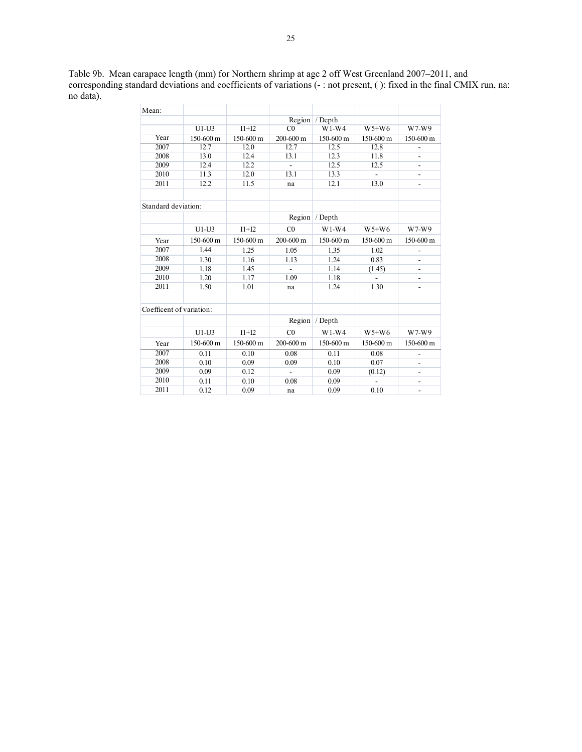Table 9b. Mean carapace length (mm) for Northern shrimp at age 2 off West Greenland 2007–2011, and corresponding standard deviations and coefficients of variations (- : not present, ( ): fixed in the final CMIX run, na: no data).

| Mean:                    |             |           |                |                |             |                              |
|--------------------------|-------------|-----------|----------------|----------------|-------------|------------------------------|
|                          |             |           |                | Region / Depth |             |                              |
|                          | $U1-U3$     | $I1+I2$   | C <sub>0</sub> | $W1-W4$        | $W5+W6$     | $W7-W9$                      |
| Year                     | 150-600 m   | 150-600 m | 200-600 m      | 150-600 m      | 150-600 m   | 150-600 m                    |
| 2007                     | 12.7        | 12.0      | 12.7           | 12.5           | 12.8        |                              |
| 2008                     | 13.0        | 12.4      | 13.1           | 12.3           | 11.8        | -                            |
| 2009                     | 12.4        | 12.2      | $\overline{a}$ | 12.5           | 12.5        |                              |
| 2010                     | 11.3        | 12.0      | 13.1           | 13.3           | L,          | $\overline{\phantom{a}}$     |
| 2011                     | 12.2        | 11.5      | na             | 12.1           | 13.0        | ÷,                           |
|                          |             |           |                |                |             |                              |
| Standard deviation:      |             |           |                |                |             |                              |
|                          |             |           |                | Region / Depth |             |                              |
|                          | $U1-U3$     | $I1+I2$   | C <sub>0</sub> | $W1-W4$        | $W5+W6$     | $W7-W9$                      |
| Year                     | $150-600$ m | 150-600 m | 200-600 m      | 150-600 m      | $150-600$ m | 150-600 m                    |
| 2007                     | 1.44        | 1.25      | 1.05           | 1.35           | 1.02        | -                            |
| 2008                     | 1.30        | 1.16      | 1.13           | 1.24           | 0.83        | $\overline{a}$               |
| 2009                     | 1.18        | 1.45      | $\overline{a}$ | 1.14           | (1.45)      | $\overline{\phantom{m}}$     |
| 2010                     | 1.20        | 1.17      | 1.09           | 1.18           |             |                              |
| 2011                     | 1.50        | 1.01      | na             | 1.24           | 1.30        | $\overline{a}$               |
|                          |             |           |                |                |             |                              |
| Coefficent of variation: |             |           |                |                |             |                              |
|                          |             |           |                | Region / Depth |             |                              |
|                          | $U1-U3$     | $I1+I2$   | CO             | $W1-W4$        | $W5+W6$     | $W7-W9$                      |
| Year                     | 150-600 m   | 150-600 m | 200-600 m      | 150-600 m      | 150-600 m   | 150-600 m                    |
| 2007                     | 0.11        | 0.10      | 0.08           | 0.11           | 0.08        | -                            |
| 2008                     | 0.10        | 0.09      | 0.09           | 0.10           | 0.07        |                              |
| 2009                     | 0.09        | 0.12      |                | 0.09           | (0.12)      | -                            |
| 2010                     | 0.11        | 0.10      | 0.08           | 0.09           |             | $\qquad \qquad \blacksquare$ |
| 2011                     | 0.12        | 0.09      | na             | 0.09           | 0.10        |                              |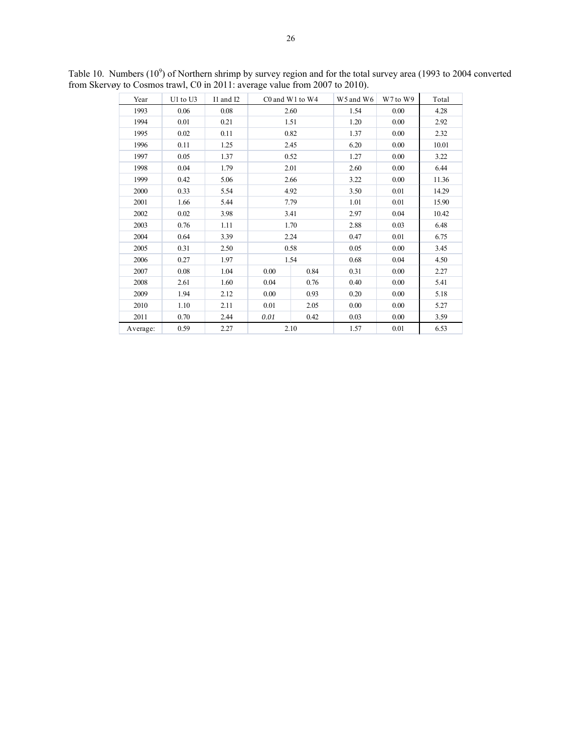| Year     | U1 to U3 | I1 and I2 | C0 and W1 to W4 |      | W5 and W6 | W7 to W9 | Total |
|----------|----------|-----------|-----------------|------|-----------|----------|-------|
| 1993     | 0.06     | 0.08      | 2.60            |      | 1.54      | 0.00     | 4.28  |
| 1994     | 0.01     | 0.21      | 1.51            |      | 1.20      | 0.00     | 2.92  |
| 1995     | 0.02     | 0.11      |                 | 0.82 | 1.37      | 0.00     | 2.32  |
| 1996     | 0.11     | 1.25      |                 | 2.45 | 6.20      | 0.00     | 10.01 |
| 1997     | 0.05     | 1.37      |                 | 0.52 | 1.27      | 0.00     | 3.22  |
| 1998     | 0.04     | 1.79      |                 | 2.01 | 2.60      | 0.00     | 6.44  |
| 1999     | 0.42     | 5.06      |                 | 2.66 | 3.22      | 0.00     | 11.36 |
| 2000     | 0.33     | 5.54      |                 | 4.92 | 3.50      | 0.01     | 14.29 |
| 2001     | 1.66     | 5.44      |                 | 7.79 | 1.01      | 0.01     | 15.90 |
| 2002     | 0.02     | 3.98      | 3.41            |      | 2.97      | 0.04     | 10.42 |
| 2003     | 0.76     | 1.11      | 1.70            |      | 2.88      | 0.03     | 6.48  |
| 2004     | 0.64     | 3.39      | 2.24            |      | 0.47      | 0.01     | 6.75  |
| 2005     | 0.31     | 2.50      | 0.58            |      | 0.05      | 0.00     | 3.45  |
| 2006     | 0.27     | 1.97      | 1.54            |      | 0.68      | 0.04     | 4.50  |
| 2007     | 0.08     | 1.04      | 0.00            | 0.84 | 0.31      | 0.00     | 2.27  |
| 2008     | 2.61     | 1.60      | 0.04            | 0.76 | 0.40      | 0.00     | 5.41  |
| 2009     | 1.94     | 2.12      | 0.00            | 0.93 | 0.20      | 0.00     | 5.18  |
| 2010     | 1.10     | 2.11      | 0.01            | 2.05 | 0.00      | 0.00     | 5.27  |
| 2011     | 0.70     | 2.44      | 0.01            | 0.42 | 0.03      | 0.00     | 3.59  |
| Average: | 0.59     | 2.27      | 2.10            |      | 1.57      | 0.01     | 6.53  |

Table 10. Numbers  $(10^9)$  of Northern shrimp by survey region and for the total survey area (1993 to 2004 converted from Skervøy to Cosmos trawl, C0 in 2011: average value from 2007 to 2010).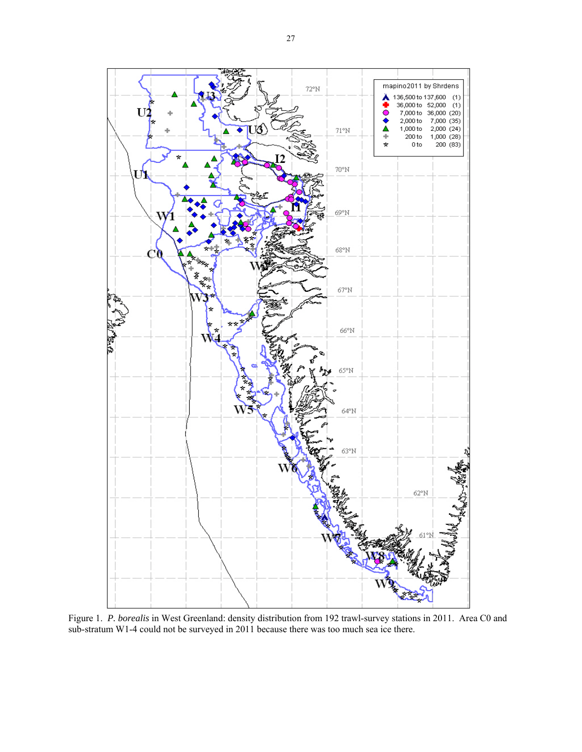

Figure 1. *P. borealis* in West Greenland: density distribution from 192 trawl-survey stations in 2011. Area C0 and sub-stratum W1-4 could not be surveyed in 2011 because there was too much sea ice there.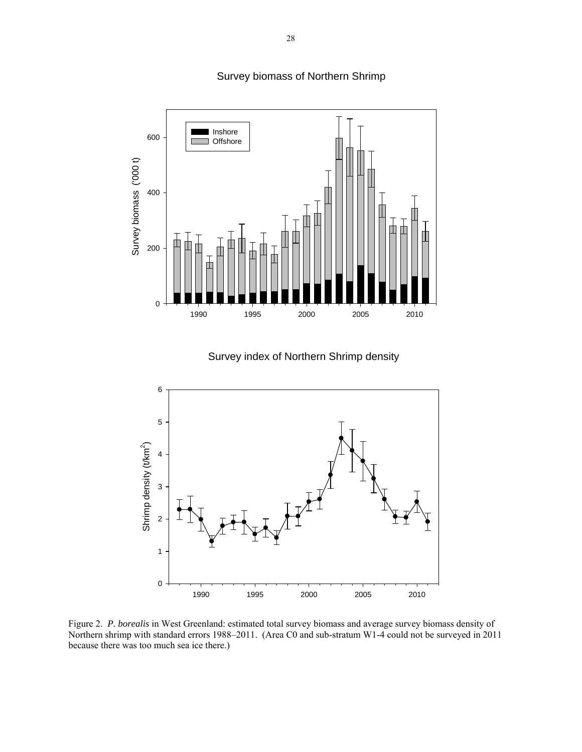

# Survey biomass of Northern Shrimp





Figure 2. *P. borealis* in West Greenland: estimated total survey biomass and average survey biomass density of Northern shrimp with standard errors 1988–2011. (Area C0 and sub-stratum W1-4 could not be surveyed in 2011 because there was too much sea ice there.)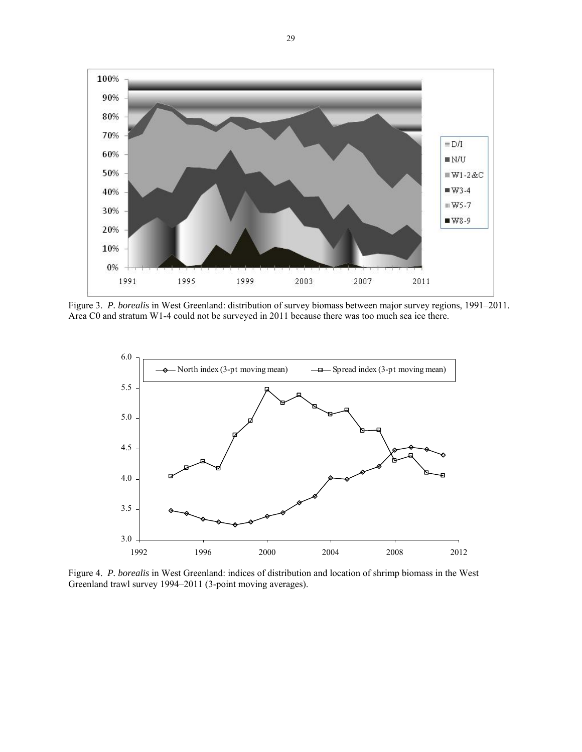

Figure 3. *P. borealis* in West Greenland: distribution of survey biomass between major survey regions, 1991–2011. Area C0 and stratum W1-4 could not be surveyed in 2011 because there was too much sea ice there.



Figure 4. *P. borealis* in West Greenland: indices of distribution and location of shrimp biomass in the West Greenland trawl survey 1994–2011 (3-point moving averages).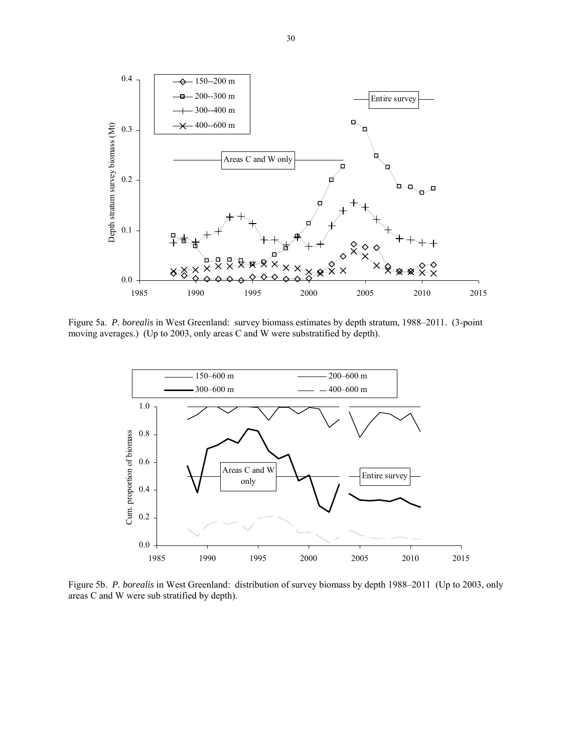

Figure 5a. *P. borealis* in West Greenland: survey biomass estimates by depth stratum, 1988–2011. (3-point moving averages.) (Up to 2003, only areas C and W were substratified by depth).



Figure 5b. *P. borealis* in West Greenland: distribution of survey biomass by depth 1988–2011 (Up to 2003, only areas C and W were sub stratified by depth).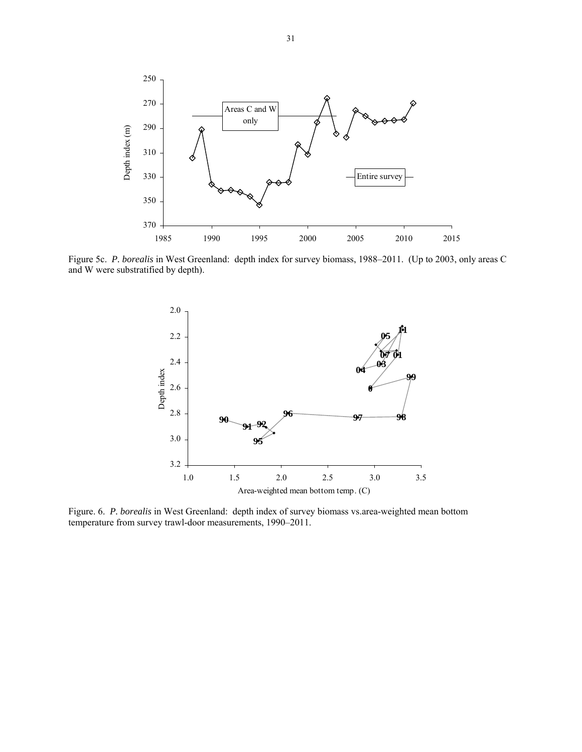

Figure 5c. *P. borealis* in West Greenland: depth index for survey biomass, 1988–2011. (Up to 2003, only areas C and W were substratified by depth).



Figure. 6. *P. borealis* in West Greenland: depth index of survey biomass vs.area-weighted mean bottom temperature from survey trawl-door measurements, 1990–2011.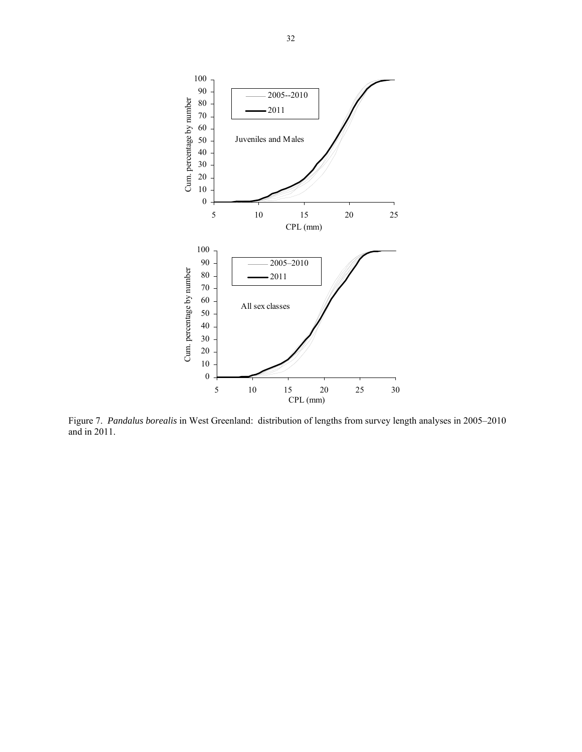

Figure 7. *Pandalus borealis* in West Greenland: distribution of lengths from survey length analyses in 2005–2010 and in 2011.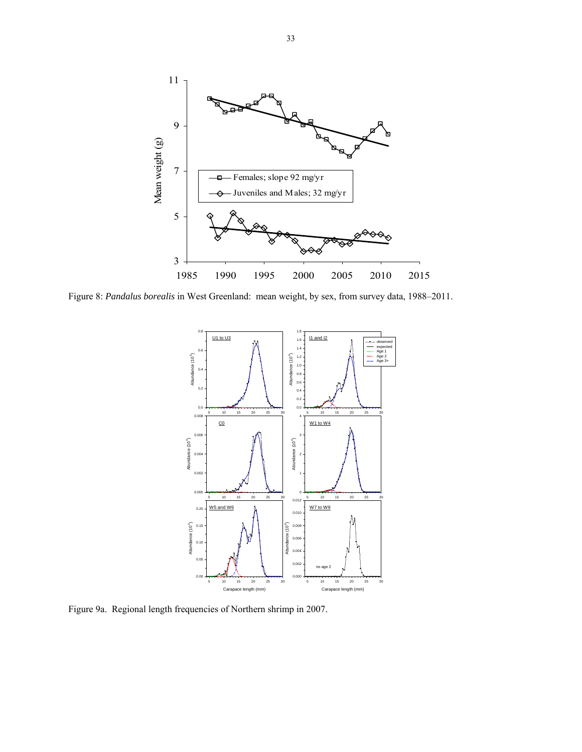

Figure 8: *Pandalus borealis* in West Greenland: mean weight, by sex, from survey data, 1988–2011.



Figure 9a. Regional length frequencies of Northern shrimp in 2007.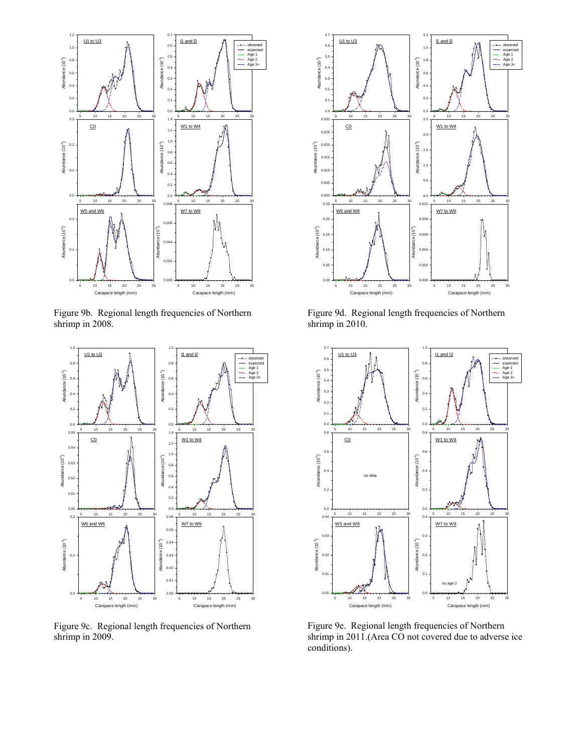

Figure 9b. Regional length frequencies of Northern shrimp in 2008.



Figure 9c. Regional length frequencies of Northern shrimp in 2009.



Figure 9d. Regional length frequencies of Northern shrimp in 2010.



Figure 9e. Regional length frequencies of Northern shrimp in 2011.(Area CO not covered due to adverse ice conditions).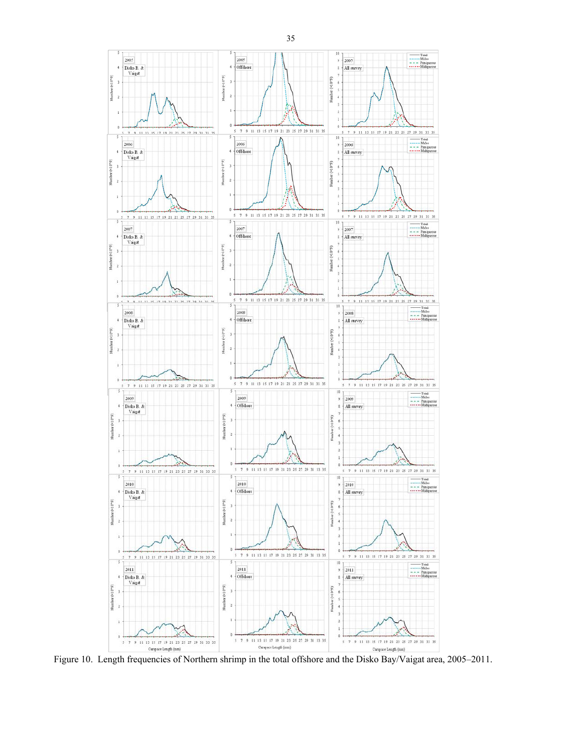

Figure 10. Length frequencies of Northern shrimp in the total offshore and the Disko Bay/Vaigat area, 2005–2011.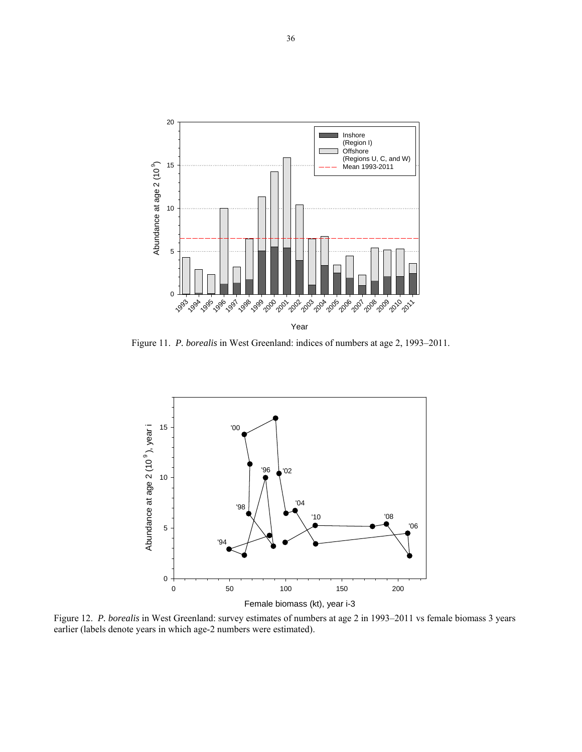

Figure 11. *P. borealis* in West Greenland: indices of numbers at age 2, 1993–2011.



Figure 12. *P. borealis* in West Greenland: survey estimates of numbers at age 2 in 1993–2011 vs female biomass 3 years earlier (labels denote years in which age-2 numbers were estimated).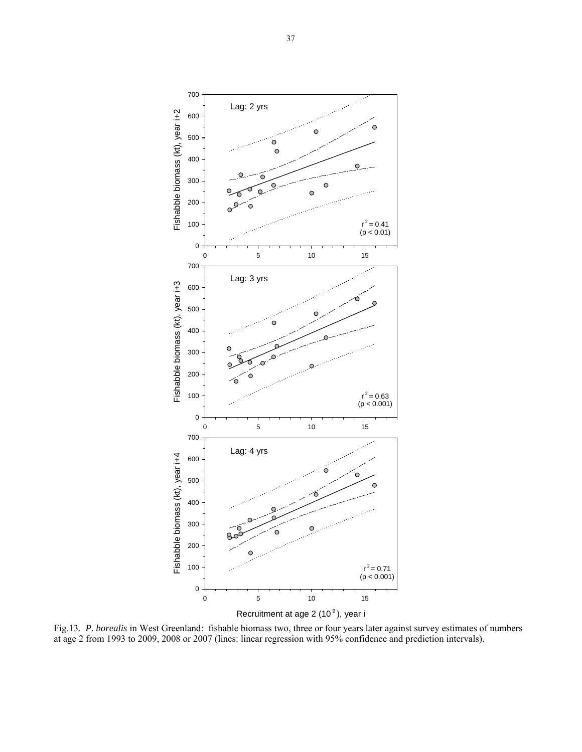

Fig.13. *P. borealis* in West Greenland: fishable biomass two, three or four years later against survey estimates of numbers at age 2 from 1993 to 2009, 2008 or 2007 (lines: linear regression with 95% confidence and prediction intervals).